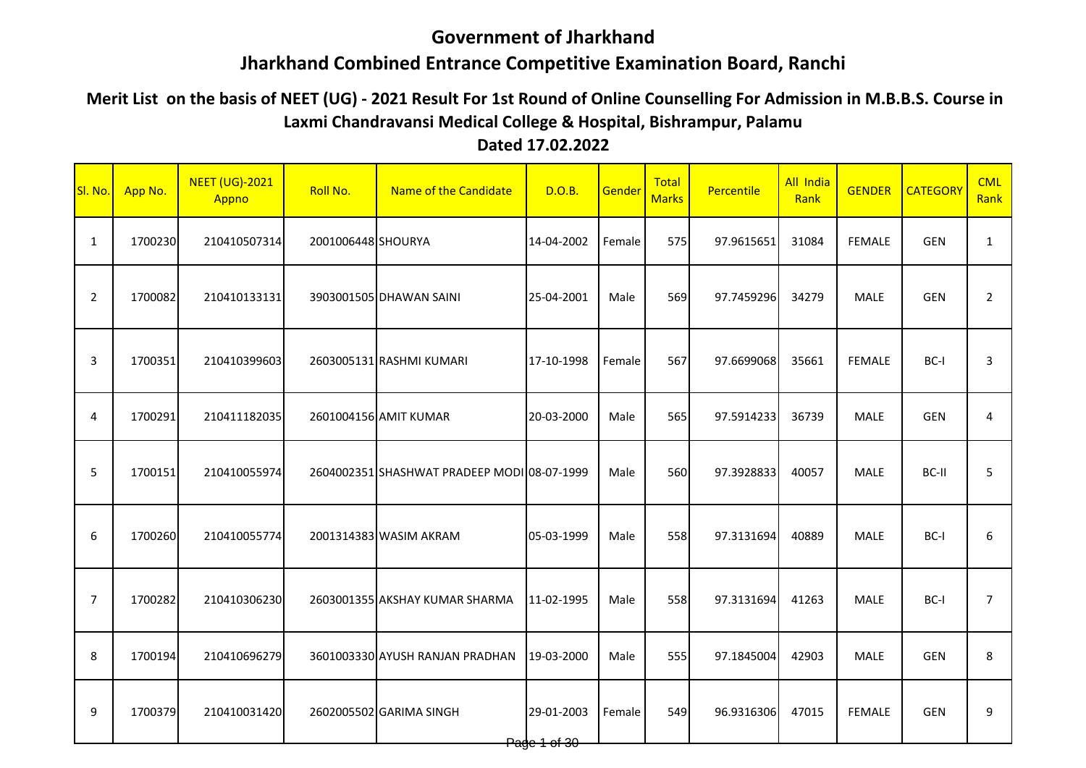## **Government of Jharkhand**

## **Jharkhand Combined Entrance Competitive Examination Board, Ranchi**

## **Merit List on the basis of NEET (UG) - 2021 Result For 1st Round of Online Counselling For Admission in M.B.B.S. Course in Laxmi Chandravansi Medical College & Hospital, Bishrampur, Palamu**

## **Dated 17.02.2022**

| SI. No.        | App No. | <b>NEET (UG)-2021</b><br>Appno | Roll No.           | Name of the Candidate                       | <b>D.O.B.</b>              | Gender | Total<br><b>Marks</b> | Percentile | <b>All India</b><br>Rank | <b>GENDER</b> | <b>CATEGORY</b> | <b>CML</b><br>Rank |
|----------------|---------|--------------------------------|--------------------|---------------------------------------------|----------------------------|--------|-----------------------|------------|--------------------------|---------------|-----------------|--------------------|
| $\mathbf{1}$   | 1700230 | 210410507314                   | 2001006448 SHOURYA |                                             | 14-04-2002                 | Female | 575                   | 97.9615651 | 31084                    | <b>FEMALE</b> | <b>GEN</b>      | 1                  |
| $\overline{2}$ | 1700082 | 210410133131                   |                    | 3903001505 DHAWAN SAINI                     | 25-04-2001                 | Male   | 569                   | 97.7459296 | 34279                    | MALE          | GEN             | $\overline{2}$     |
| 3              | 1700351 | 210410399603                   |                    | 2603005131 RASHMI KUMARI                    | 17-10-1998                 | Female | 567                   | 97.6699068 | 35661                    | <b>FEMALE</b> | BC-I            | 3                  |
| 4              | 1700291 | 210411182035                   |                    | 2601004156 AMIT KUMAR                       | 20-03-2000                 | Male   | 565                   | 97.5914233 | 36739                    | MALE          | <b>GEN</b>      | $\overline{4}$     |
| 5              | 1700151 | 210410055974                   |                    | 2604002351 SHASHWAT PRADEEP MODI 08-07-1999 |                            | Male   | 560                   | 97.3928833 | 40057                    | <b>MALE</b>   | BC-II           | 5                  |
| 6              | 1700260 | 210410055774                   |                    | 2001314383 WASIM AKRAM                      | 05-03-1999                 | Male   | 558                   | 97.3131694 | 40889                    | <b>MALE</b>   | BC-I            | $\boldsymbol{6}$   |
| 7              | 1700282 | 210410306230                   |                    | 2603001355 AKSHAY KUMAR SHARMA              | 11-02-1995                 | Male   | 558                   | 97.3131694 | 41263                    | <b>MALE</b>   | BC-I            | $\overline{7}$     |
| 8              | 1700194 | 210410696279                   |                    | 3601003330 AYUSH RANJAN PRADHAN             | 19-03-2000                 | Male   | 555                   | 97.1845004 | 42903                    | <b>MALE</b>   | <b>GEN</b>      | 8                  |
| 9              | 1700379 | 210410031420                   |                    | 2602005502 GARIMA SINGH                     | 29-01-2003<br>Pade 1 of 30 | Female | 549                   | 96.9316306 | 47015                    | <b>FEMALE</b> | <b>GEN</b>      | 9                  |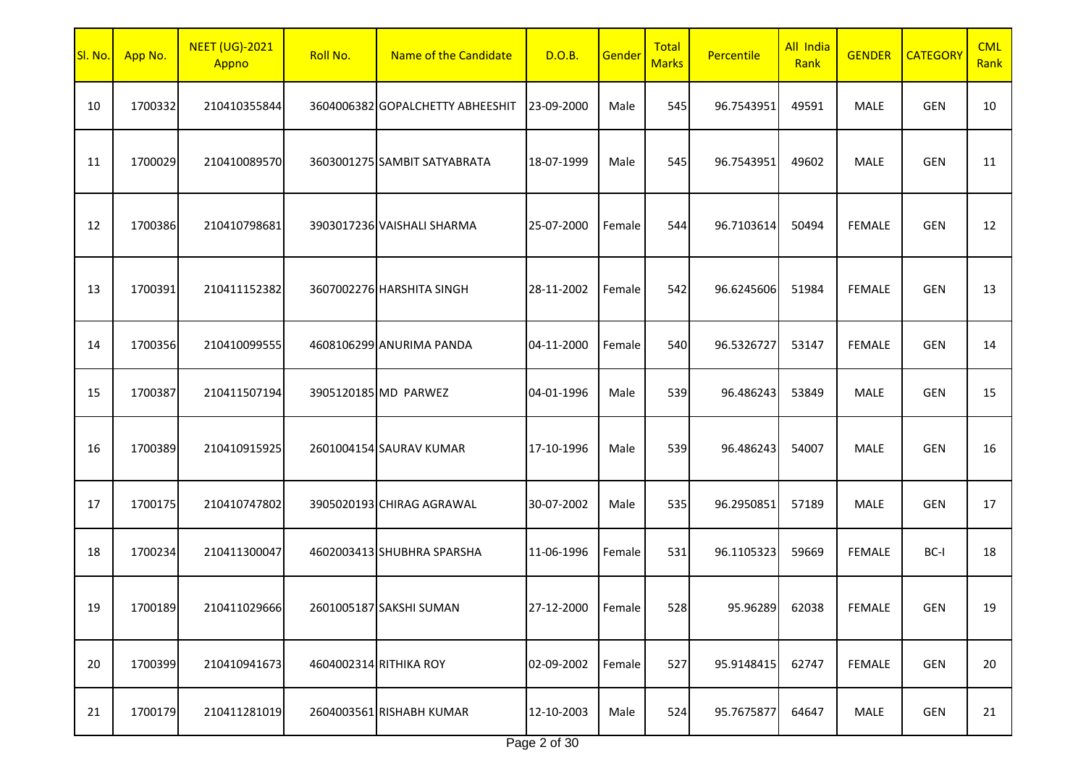| SI. No. | App No. | <b>NEET (UG)-2021</b><br>Appno | Roll No. | Name of the Candidate            | D.O.B.            | Gender | Total<br><b>Marks</b> | Percentile | All India<br>Rank | <b>GENDER</b> | <b>CATEGORY</b> | <b>CML</b><br>Rank |
|---------|---------|--------------------------------|----------|----------------------------------|-------------------|--------|-----------------------|------------|-------------------|---------------|-----------------|--------------------|
| 10      | 1700332 | 210410355844                   |          | 3604006382 GOPALCHETTY ABHEESHIT | 23-09-2000        | Male   | 545                   | 96.7543951 | 49591             | MALE          | <b>GEN</b>      | 10                 |
| 11      | 1700029 | 210410089570                   |          | 3603001275 SAMBIT SATYABRATA     | 18-07-1999        | Male   | 545                   | 96.7543951 | 49602             | MALE          | <b>GEN</b>      | 11                 |
| 12      | 1700386 | 210410798681                   |          | 3903017236 VAISHALI SHARMA       | 25-07-2000        | Female | 544                   | 96.7103614 | 50494             | <b>FEMALE</b> | <b>GEN</b>      | 12                 |
| 13      | 1700391 | 210411152382                   |          | 3607002276 HARSHITA SINGH        | 28-11-2002        | Female | 542                   | 96.6245606 | 51984             | <b>FEMALE</b> | <b>GEN</b>      | 13                 |
| 14      | 1700356 | 210410099555                   |          | 4608106299 ANURIMA PANDA         | 04-11-2000        | Female | 540                   | 96.5326727 | 53147             | <b>FEMALE</b> | <b>GEN</b>      | 14                 |
| 15      | 1700387 | 210411507194                   |          | 3905120185 MD PARWEZ             | 04-01-1996        | Male   | 539                   | 96.486243  | 53849             | MALE          | <b>GEN</b>      | 15                 |
| 16      | 1700389 | 210410915925                   |          | 2601004154 SAURAV KUMAR          | 17-10-1996        | Male   | 539                   | 96.486243  | 54007             | MALE          | <b>GEN</b>      | 16                 |
| 17      | 1700175 | 210410747802                   |          | 3905020193 CHIRAG AGRAWAL        | 30-07-2002        | Male   | 535                   | 96.2950851 | 57189             | MALE          | <b>GEN</b>      | 17                 |
| 18      | 1700234 | 210411300047                   |          | 4602003413 SHUBHRA SPARSHA       | 11-06-1996        | Female | 531                   | 96.1105323 | 59669             | <b>FEMALE</b> | BC-I            | 18                 |
| 19      | 1700189 | 210411029666                   |          | 2601005187 SAKSHI SUMAN          | 27-12-2000 Female |        | 528                   | 95.96289   | 62038             | FEMALE        | GEN             | 19                 |
| 20      | 1700399 | 210410941673                   |          | 4604002314 RITHIKA ROY           | 02-09-2002        | Female | 527                   | 95.9148415 | 62747             | <b>FEMALE</b> | <b>GEN</b>      | 20                 |
| 21      | 1700179 | 210411281019                   |          | 2604003561 RISHABH KUMAR         | 12-10-2003        | Male   | 524                   | 95.7675877 | 64647             | MALE          | GEN             | 21                 |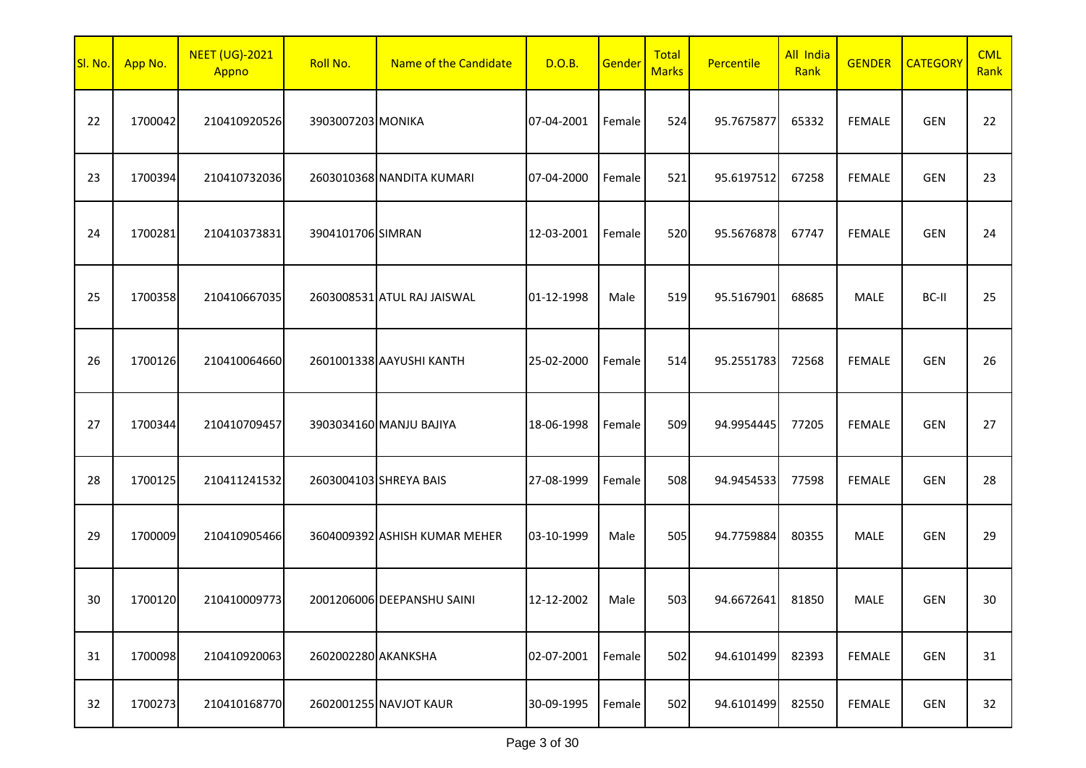| 22 | 1700042 | 210410920526 | 3903007203 MONIKA   |                               | 07-04-2001 | Female | 524 | 95.7675877 | 65332 | <b>FEMALE</b> | <b>GEN</b> | 22 |
|----|---------|--------------|---------------------|-------------------------------|------------|--------|-----|------------|-------|---------------|------------|----|
| 23 | 1700394 | 210410732036 |                     | 2603010368 NANDITA KUMARI     | 07-04-2000 | Female | 521 | 95.6197512 | 67258 | <b>FEMALE</b> | <b>GEN</b> | 23 |
| 24 | 1700281 | 210410373831 | 3904101706 SIMRAN   |                               | 12-03-2001 | Female | 520 | 95.5676878 | 67747 | <b>FEMALE</b> | <b>GEN</b> | 24 |
| 25 | 1700358 | 210410667035 |                     | 2603008531 ATUL RAJ JAISWAL   | 01-12-1998 | Male   | 519 | 95.5167901 | 68685 | <b>MALE</b>   | BC-II      | 25 |
| 26 | 1700126 | 210410064660 |                     | 2601001338 AAYUSHI KANTH      | 25-02-2000 | Female | 514 | 95.2551783 | 72568 | <b>FEMALE</b> | <b>GEN</b> | 26 |
| 27 | 1700344 | 210410709457 |                     | 3903034160 MANJU BAJIYA       | 18-06-1998 | Female | 509 | 94.9954445 | 77205 | <b>FEMALE</b> | <b>GEN</b> | 27 |
| 28 | 1700125 | 210411241532 |                     | 2603004103 SHREYA BAIS        | 27-08-1999 | Female | 508 | 94.9454533 | 77598 | FEMALE        | <b>GEN</b> | 28 |
| 29 | 1700009 | 210410905466 |                     | 3604009392 ASHISH KUMAR MEHER | 03-10-1999 | Male   | 505 | 94.7759884 | 80355 | MALE          | <b>GEN</b> | 29 |
| 30 | 1700120 | 210410009773 |                     | 2001206006 DEEPANSHU SAINI    | 12-12-2002 | Male   | 503 | 94.6672641 | 81850 | <b>MALE</b>   | <b>GEN</b> | 30 |
| 31 | 1700098 | 210410920063 | 2602002280 AKANKSHA |                               | 02-07-2001 | Female | 502 | 94.6101499 | 82393 | <b>FEMALE</b> | <b>GEN</b> | 31 |
| 32 | 1700273 | 210410168770 |                     | 2602001255 NAVJOT KAUR        | 30-09-1995 | Female | 502 | 94.6101499 | 82550 | <b>FEMALE</b> | <b>GEN</b> | 32 |

 $\begin{array}{|c|c|c|c|}\n\hline\n\text{Roll No.} & \text{Name of the Candidate} & \text{D.O.B.} & \text{Gender} & \text{Marks}\n\end{array}$ 

**Percentile** All India

**GENDER CATEGORY** 

H

**CML Rank** 

SI. No. App No.

NEET (UG)-2021 Appno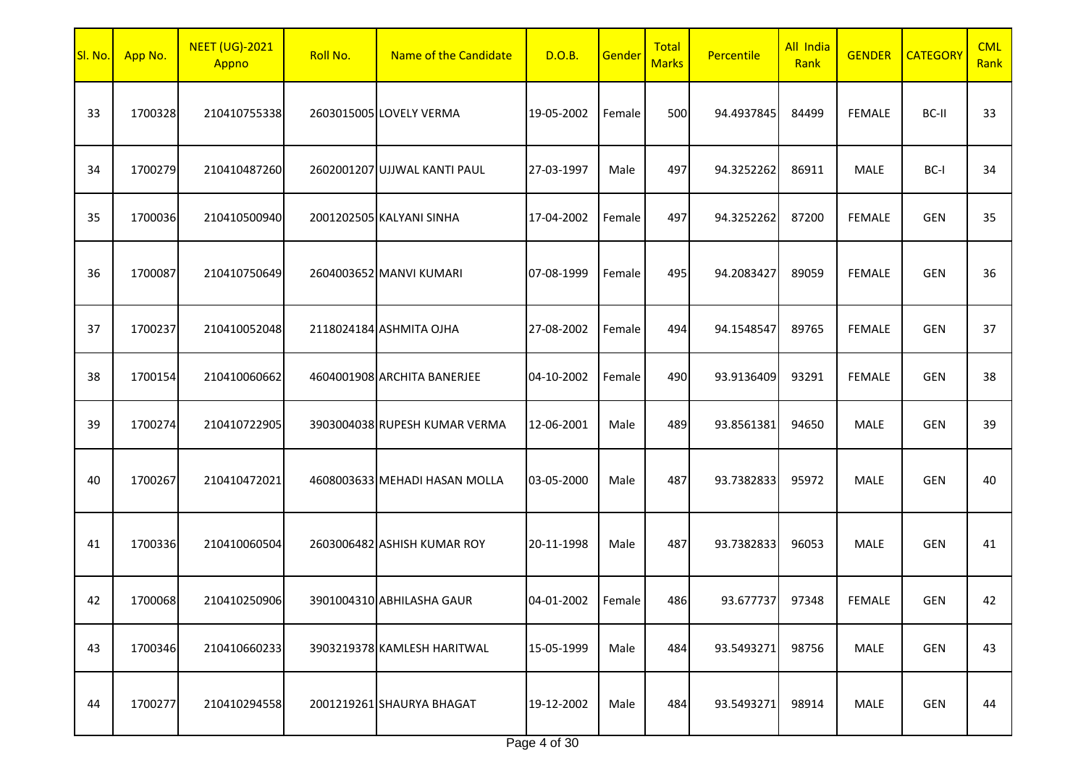| SI. No. | App No. | <b>NEET (UG)-2021</b><br>Appno | Roll No. | Name of the Candidate         | D.O.B.              | Gender | <b>Total</b><br><b>Marks</b> | Percentile | All India<br>Rank | <b>GENDER</b> | <b>CATEGORY</b> | <b>CML</b><br>Rank |
|---------|---------|--------------------------------|----------|-------------------------------|---------------------|--------|------------------------------|------------|-------------------|---------------|-----------------|--------------------|
| 33      | 1700328 | 210410755338                   |          | 2603015005 LOVELY VERMA       | 19-05-2002          | Female | 500                          | 94.4937845 | 84499             | <b>FEMALE</b> | BC-II           | 33                 |
| 34      | 1700279 | 210410487260                   |          | 2602001207 UJJWAL KANTI PAUL  | 27-03-1997          | Male   | 497                          | 94.3252262 | 86911             | <b>MALE</b>   | BC-I            | 34                 |
| 35      | 1700036 | 210410500940                   |          | 2001202505 KALYANI SINHA      | 17-04-2002          | Female | 497                          | 94.3252262 | 87200             | <b>FEMALE</b> | GEN             | 35                 |
| 36      | 1700087 | 210410750649                   |          | 2604003652 MANVI KUMARI       | 07-08-1999          | Female | 495                          | 94.2083427 | 89059             | <b>FEMALE</b> | <b>GEN</b>      | 36                 |
| 37      | 1700237 | 210410052048                   |          | 2118024184 ASHMITA OJHA       | 27-08-2002          | Female | 494                          | 94.1548547 | 89765             | <b>FEMALE</b> | GEN             | 37                 |
| 38      | 1700154 | 210410060662                   |          | 4604001908 ARCHITA BANERJEE   | 04-10-2002          | Female | 490                          | 93.9136409 | 93291             | <b>FEMALE</b> | <b>GEN</b>      | 38                 |
| 39      | 1700274 | 210410722905                   |          | 3903004038 RUPESH KUMAR VERMA | 12-06-2001          | Male   | 489                          | 93.8561381 | 94650             | <b>MALE</b>   | <b>GEN</b>      | 39                 |
| 40      | 1700267 | 210410472021                   |          | 4608003633 MEHADI HASAN MOLLA | 03-05-2000          | Male   | 487                          | 93.7382833 | 95972             | <b>MALE</b>   | <b>GEN</b>      | 40                 |
| 41      | 1700336 | 210410060504                   |          | 2603006482 ASHISH KUMAR ROY   | 20-11-1998          | Male   | 487                          | 93.7382833 | 96053             | <b>MALE</b>   | <b>GEN</b>      | 41                 |
| 42      | 1700068 | 210410250906                   |          | 3901004310 ABHILASHA GAUR     | 04-01-2002   Female |        | 486                          | 93.677737  | 97348             | <b>FEMALE</b> | <b>GEN</b>      | 42                 |
| 43      | 1700346 | 210410660233                   |          | 3903219378 KAMLESH HARITWAL   | 15-05-1999          | Male   | 484                          | 93.5493271 | 98756             | MALE          | GEN             | 43                 |
| 44      | 1700277 | 210410294558                   |          | 2001219261 SHAURYA BHAGAT     | 19-12-2002          | Male   | 484                          | 93.5493271 | 98914             | <b>MALE</b>   | GEN             | 44                 |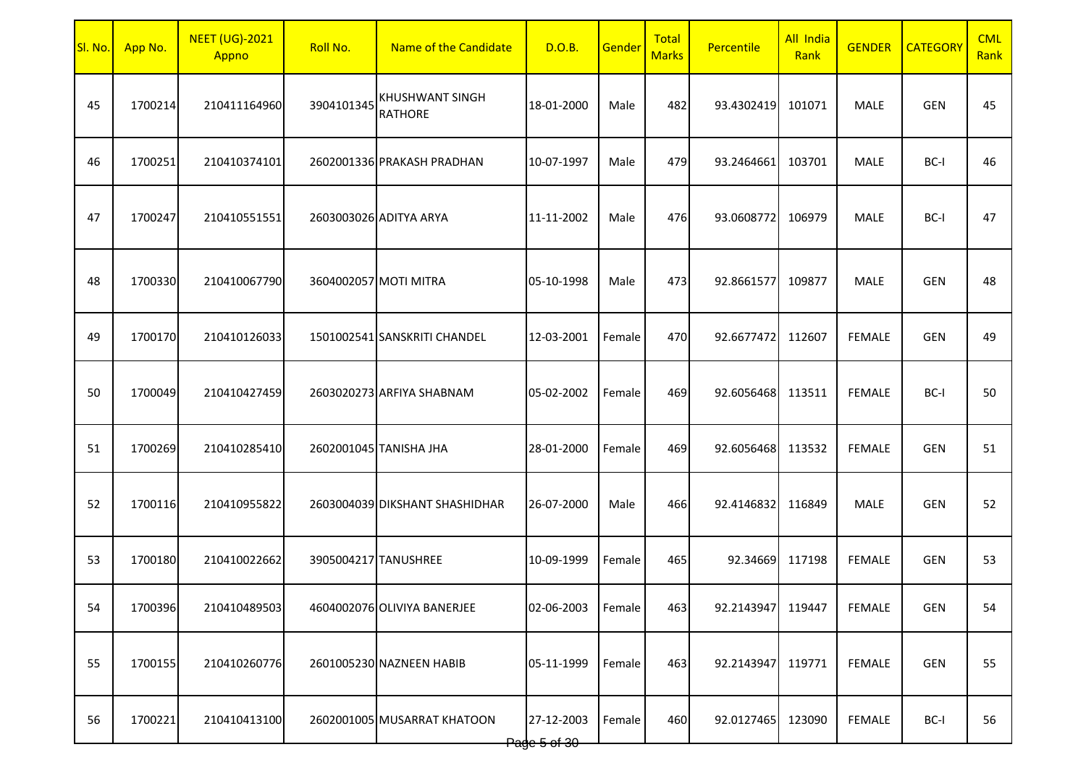| SI. No. | App No. | <b>NEET (UG)-2021</b><br>Appno | <b>Roll No.</b>      | Name of the Candidate             | D.O.B.                     | Gender | Total<br><b>Marks</b> | Percentile | All India<br>Rank | <b>GENDER</b> | <b>CATEGORY</b> | <b>CML</b><br>Rank |
|---------|---------|--------------------------------|----------------------|-----------------------------------|----------------------------|--------|-----------------------|------------|-------------------|---------------|-----------------|--------------------|
| 45      | 1700214 | 210411164960                   | 3904101345           | KHUSHWANT SINGH<br><b>RATHORE</b> | 18-01-2000                 | Male   | 482                   | 93.4302419 | 101071            | MALE          | <b>GEN</b>      | 45                 |
| 46      | 1700251 | 210410374101                   |                      | 2602001336 PRAKASH PRADHAN        | 10-07-1997                 | Male   | 479                   | 93.2464661 | 103701            | MALE          | BC-I            | 46                 |
| 47      | 1700247 | 210410551551                   |                      | 2603003026 ADITYA ARYA            | 11-11-2002                 | Male   | 476                   | 93.0608772 | 106979            | <b>MALE</b>   | BC-I            | 47                 |
| 48      | 1700330 | 210410067790                   |                      | 3604002057 MOTI MITRA             | 05-10-1998                 | Male   | 473                   | 92.8661577 | 109877            | <b>MALE</b>   | <b>GEN</b>      | 48                 |
| 49      | 1700170 | 210410126033                   |                      | 1501002541 SANSKRITI CHANDEL      | 12-03-2001                 | Female | 470                   | 92.6677472 | 112607            | <b>FEMALE</b> | <b>GEN</b>      | 49                 |
| 50      | 1700049 | 210410427459                   |                      | 2603020273 ARFIYA SHABNAM         | 05-02-2002                 | Female | 469                   | 92.6056468 | 113511            | <b>FEMALE</b> | BC-I            | 50                 |
| 51      | 1700269 | 210410285410                   |                      | 2602001045 TANISHA JHA            | 28-01-2000                 | Female | 469                   | 92.6056468 | 113532            | <b>FEMALE</b> | <b>GEN</b>      | 51                 |
| 52      | 1700116 | 210410955822                   |                      | 2603004039 DIKSHANT SHASHIDHAR    | 26-07-2000                 | Male   | 466                   | 92.4146832 | 116849            | MALE          | <b>GEN</b>      | 52                 |
| 53      | 1700180 | 210410022662                   | 3905004217 TANUSHREE |                                   | 10-09-1999                 | Female | 465                   | 92.34669   | 117198            | <b>FEMALE</b> | <b>GEN</b>      | 53                 |
| 54      | 1700396 | 210410489503                   |                      | 4604002076 OLIVIYA BANERJEE       | 02-06-2003                 | Female | 463                   | 92.2143947 | 119447            | <b>FEMALE</b> | <b>GEN</b>      | 54                 |
| 55      | 1700155 | 210410260776                   |                      | 2601005230 NAZNEEN HABIB          | 05-11-1999                 | Female | 463                   | 92.2143947 | 119771            | <b>FEMALE</b> | <b>GEN</b>      | 55                 |
| 56      | 1700221 | 210410413100                   |                      | 2602001005 MUSARRAT KHATOON       | 27-12-2003<br>Page 5 of 30 | Female | 460                   | 92.0127465 | 123090            | <b>FEMALE</b> | BC-I            | 56                 |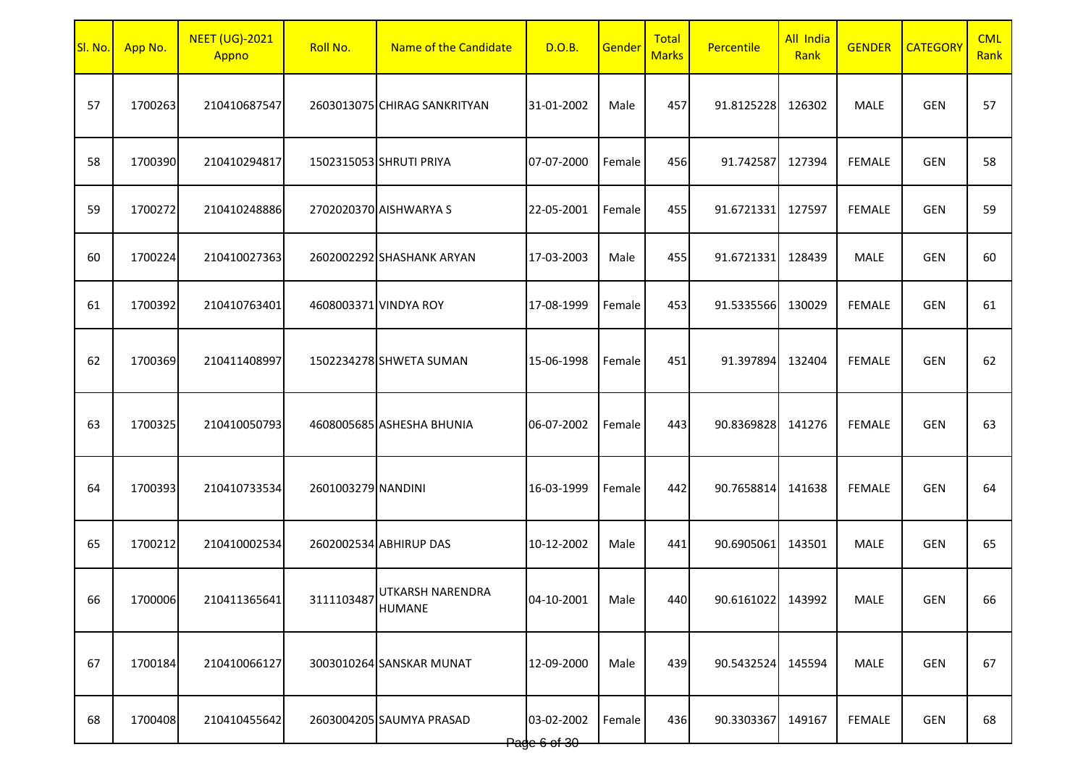| SI. No. | App No. | <b>NEET (UG)-2021</b><br>Appno | Roll No.              | Name of the Candidate        | D.O.B.                     | Gender | <b>Total</b><br><b>Marks</b> | Percentile        | <b>All India</b><br>Rank | <b>GENDER</b> | <b>CATEGORY</b> | <b>CML</b><br>Rank |
|---------|---------|--------------------------------|-----------------------|------------------------------|----------------------------|--------|------------------------------|-------------------|--------------------------|---------------|-----------------|--------------------|
| 57      | 1700263 | 210410687547                   |                       | 2603013075 CHIRAG SANKRITYAN | 31-01-2002                 | Male   | 457                          | 91.8125228        | 126302                   | MALE          | <b>GEN</b>      | 57                 |
| 58      | 1700390 | 210410294817                   |                       | 1502315053 SHRUTI PRIYA      | 07-07-2000                 | Female | 456                          | 91.742587         | 127394                   | <b>FEMALE</b> | <b>GEN</b>      | 58                 |
| 59      | 1700272 | 210410248886                   |                       | 2702020370 AISHWARYA S       | 22-05-2001                 | Female | 455                          | 91.6721331        | 127597                   | <b>FEMALE</b> | GEN             | 59                 |
| 60      | 1700224 | 210410027363                   |                       | 2602002292 SHASHANK ARYAN    | 17-03-2003                 | Male   | 455                          | 91.6721331        | 128439                   | <b>MALE</b>   | <b>GEN</b>      | 60                 |
| 61      | 1700392 | 210410763401                   | 4608003371 VINDYA ROY |                              | 17-08-1999                 | Female | 453                          | 91.5335566        | 130029                   | <b>FEMALE</b> | <b>GEN</b>      | 61                 |
| 62      | 1700369 | 210411408997                   |                       | 1502234278 SHWETA SUMAN      | 15-06-1998                 | Female | 451                          | 91.397894         | 132404                   | <b>FEMALE</b> | GEN             | 62                 |
| 63      | 1700325 | 210410050793                   |                       | 4608005685 ASHESHA BHUNIA    | 06-07-2002                 | Female | 443                          | 90.8369828        | 141276                   | <b>FEMALE</b> | GEN             | 63                 |
| 64      | 1700393 | 210410733534                   | 2601003279 NANDINI    |                              | 16-03-1999                 | Female | 442                          | 90.7658814        | 141638                   | <b>FEMALE</b> | <b>GEN</b>      | 64                 |
| 65      | 1700212 | 210410002534                   |                       | 2602002534 ABHIRUP DAS       | 10-12-2002                 | Male   | 441                          | 90.6905061        | 143501                   | MALE          | <b>GEN</b>      | 65                 |
| 66      | 1700006 | 210411365641                   | 3111103487 HUMANE     | <b>UTKARSH NARENDRA</b>      | 04-10-2001                 | Male   | 440                          | 90.6161022 143992 |                          | MALE          | GEN             | 66                 |
| 67      | 1700184 | 210410066127                   |                       | 3003010264 SANSKAR MUNAT     | 12-09-2000                 | Male   | 439                          | 90.5432524        | 145594                   | <b>MALE</b>   | GEN             | 67                 |
| 68      | 1700408 | 210410455642                   |                       | 2603004205 SAUMYA PRASAD     | 03-02-2002<br>Page 6 of 30 | Female | 436                          | 90.3303367        | 149167                   | <b>FEMALE</b> | <b>GEN</b>      | 68                 |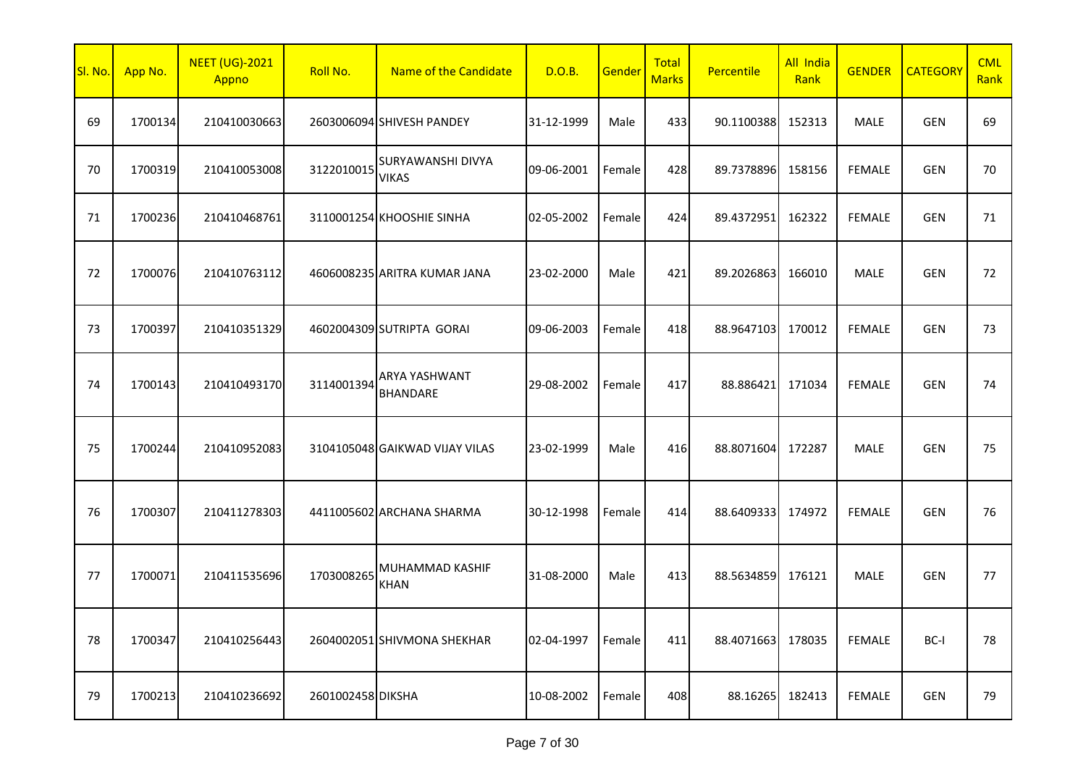| SI. No. | App No. | <b>NEET (UG)-2021</b><br>Appno | Roll No.          | Name of the Candidate             | D.O.B.     | Gender | Total<br><b>Marks</b> | Percentile        | All India<br>Rank | <b>GENDER</b> | <b>CATEGORY</b> | <b>CML</b><br>Rank |
|---------|---------|--------------------------------|-------------------|-----------------------------------|------------|--------|-----------------------|-------------------|-------------------|---------------|-----------------|--------------------|
| 69      | 1700134 | 210410030663                   |                   | 2603006094 SHIVESH PANDEY         | 31-12-1999 | Male   | 433                   | 90.1100388        | 152313            | MALE          | GEN             | 69                 |
| 70      | 1700319 | 210410053008                   | 3122010015        | SURYAWANSHI DIVYA<br><b>VIKAS</b> | 09-06-2001 | Female | 428                   | 89.7378896        | 158156            | <b>FEMALE</b> | GEN             | 70                 |
| 71      | 1700236 | 210410468761                   |                   | 3110001254 KHOOSHIE SINHA         | 02-05-2002 | Female | 424                   | 89.4372951        | 162322            | <b>FEMALE</b> | GEN             | 71                 |
| 72      | 1700076 | 210410763112                   |                   | 4606008235 ARITRA KUMAR JANA      | 23-02-2000 | Male   | 421                   | 89.2026863        | 166010            | MALE          | GEN             | 72                 |
| 73      | 1700397 | 210410351329                   |                   | 4602004309 SUTRIPTA GORAI         | 09-06-2003 | Female | 418                   | 88.9647103        | 170012            | <b>FEMALE</b> | GEN             | 73                 |
| 74      | 1700143 | 210410493170                   | 3114001394        | ARYA YASHWANT<br>BHANDARE         | 29-08-2002 | Female | 417                   | 88.886421         | 171034            | <b>FEMALE</b> | <b>GEN</b>      | 74                 |
| 75      | 1700244 | 210410952083                   |                   | 3104105048 GAIKWAD VIJAY VILAS    | 23-02-1999 | Male   | 416                   | 88.8071604        | 172287            | MALE          | GEN             | 75                 |
| 76      | 1700307 | 210411278303                   |                   | 4411005602 ARCHANA SHARMA         | 30-12-1998 | Female | 414                   | 88.6409333        | 174972            | <b>FEMALE</b> | <b>GEN</b>      | 76                 |
| 77      | 1700071 | 210411535696                   | 1703008265        | MUHAMMAD KASHIF<br><b>KHAN</b>    | 31-08-2000 | Male   | 413                   | 88.5634859        | 176121            | MALE          | GEN             | 77                 |
| 78      | 1700347 | 210410256443                   |                   | 2604002051 SHIVMONA SHEKHAR       | 02-04-1997 | Female | 411                   | 88.4071663 178035 |                   | <b>FEMALE</b> | BC-I            | 78                 |
| 79      | 1700213 | 210410236692                   | 2601002458 DIKSHA |                                   | 10-08-2002 | Female | 408                   | 88.16265 182413   |                   | <b>FEMALE</b> | GEN             | 79                 |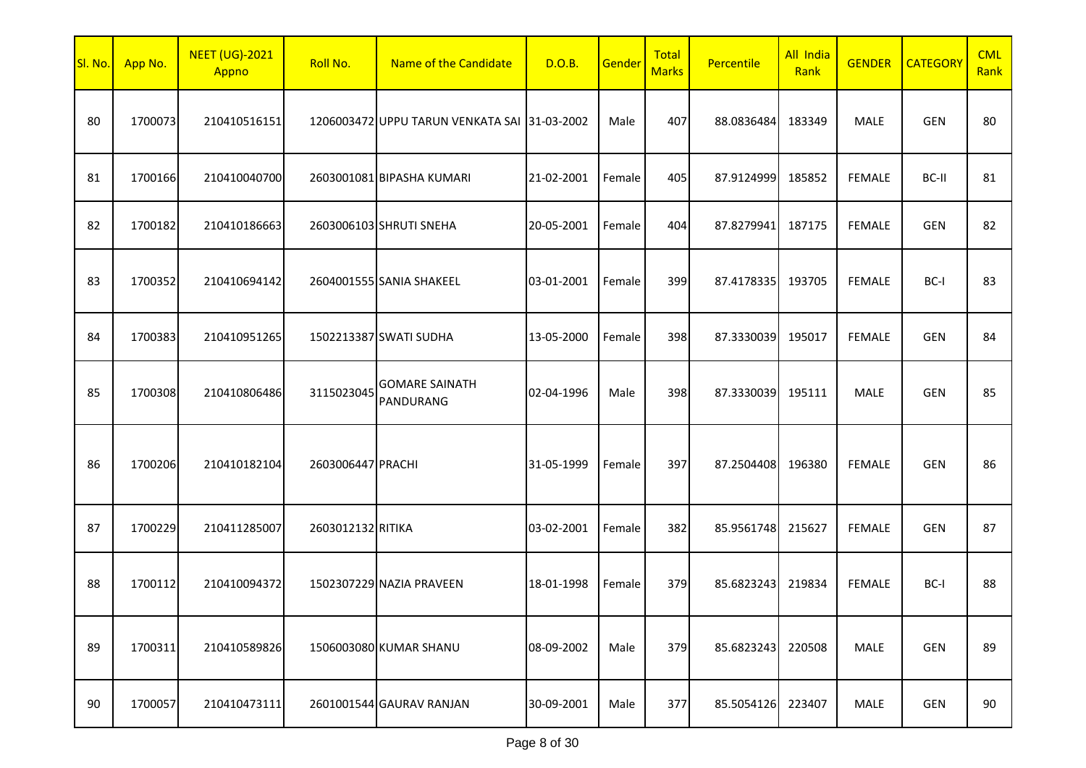| SI. No. | App No. | <b>NEET (UG)-2021</b><br>Appno | Roll No.          | Name of the Candidate                        | D.O.B.     | Gender | <b>Total</b><br><b>Marks</b> | Percentile | All India<br>Rank | <b>GENDER</b> | <b>CATEGORY</b> | <b>CML</b><br>Rank |
|---------|---------|--------------------------------|-------------------|----------------------------------------------|------------|--------|------------------------------|------------|-------------------|---------------|-----------------|--------------------|
| 80      | 1700073 | 210410516151                   |                   | 1206003472 UPPU TARUN VENKATA SAI 31-03-2002 |            | Male   | 407                          | 88.0836484 | 183349            | MALE          | <b>GEN</b>      | 80                 |
| 81      | 1700166 | 210410040700                   |                   | 2603001081 BIPASHA KUMARI                    | 21-02-2001 | Female | 405                          | 87.9124999 | 185852            | <b>FEMALE</b> | BC-II           | 81                 |
| 82      | 1700182 | 210410186663                   |                   | 2603006103 SHRUTI SNEHA                      | 20-05-2001 | Female | 404                          | 87.8279941 | 187175            | <b>FEMALE</b> | <b>GEN</b>      | 82                 |
| 83      | 1700352 | 210410694142                   |                   | 2604001555 SANIA SHAKEEL                     | 03-01-2001 | Female | 399                          | 87.4178335 | 193705            | <b>FEMALE</b> | BC-I            | 83                 |
| 84      | 1700383 | 210410951265                   |                   | 1502213387 SWATI SUDHA                       | 13-05-2000 | Female | 398                          | 87.3330039 | 195017            | <b>FEMALE</b> | <b>GEN</b>      | 84                 |
| 85      | 1700308 | 210410806486                   | 3115023045        | <b>GOMARE SAINATH</b><br>PANDURANG           | 02-04-1996 | Male   | 398                          | 87.3330039 | 195111            | MALE          | <b>GEN</b>      | 85                 |
| 86      | 1700206 | 210410182104                   | 2603006447 PRACHI |                                              | 31-05-1999 | Female | 397                          | 87.2504408 | 196380            | <b>FEMALE</b> | <b>GEN</b>      | 86                 |
| 87      | 1700229 | 210411285007                   | 2603012132 RITIKA |                                              | 03-02-2001 | Female | 382                          | 85.9561748 | 215627            | <b>FEMALE</b> | <b>GEN</b>      | 87                 |
| 88      | 1700112 | 210410094372                   |                   | 1502307229 NAZIA PRAVEEN                     | 18-01-1998 | Female | 379                          | 85.6823243 | 219834            | <b>FEMALE</b> | BC-I            | 88                 |
| 89      | 1700311 | 210410589826                   |                   | 1506003080 KUMAR SHANU                       | 08-09-2002 | Male   | 379                          | 85.6823243 | 220508            | MALE          | <b>GEN</b>      | 89                 |
| 90      | 1700057 | 210410473111                   |                   | 2601001544 GAURAV RANJAN                     | 30-09-2001 | Male   | 377                          | 85.5054126 | 223407            | MALE          | <b>GEN</b>      | 90                 |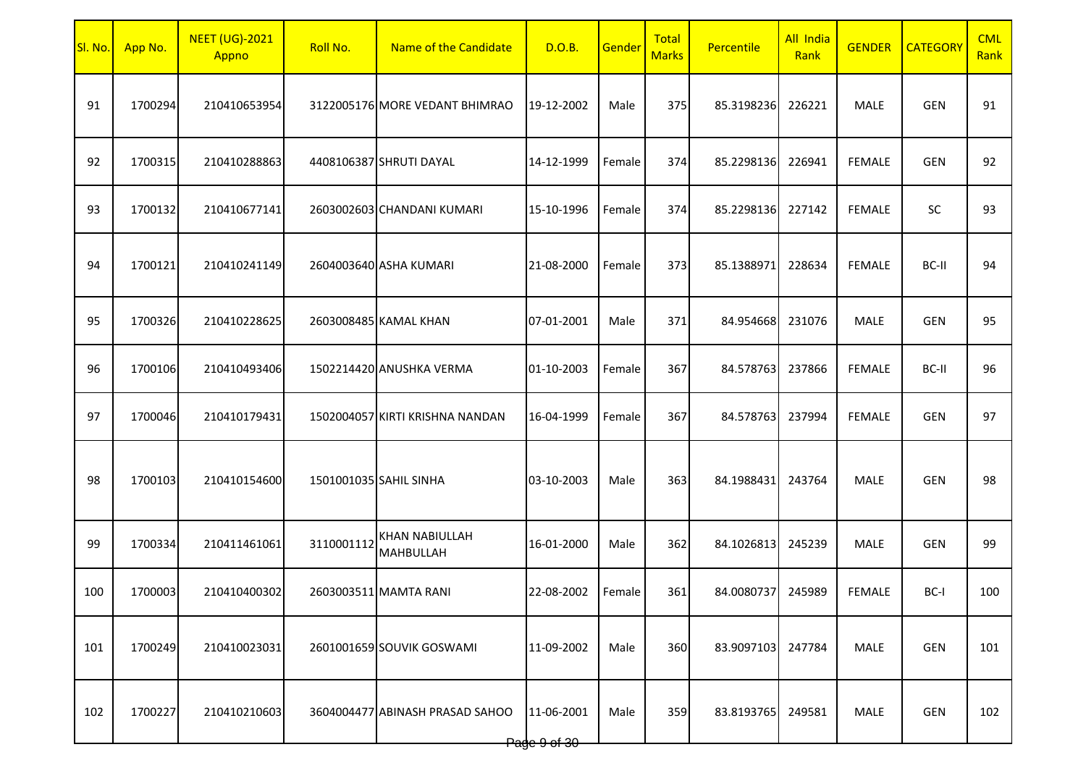| SI. No. | App No. | <b>NEET (UG)-2021</b><br>Appno | Roll No.               | Name of the Candidate              | D.O.B.                     | Gender | <b>Total</b><br><b>Marks</b> | Percentile        | <b>All India</b><br>Rank | <b>GENDER</b> | <b>CATEGORY</b> | <b>CML</b><br>Rank |
|---------|---------|--------------------------------|------------------------|------------------------------------|----------------------------|--------|------------------------------|-------------------|--------------------------|---------------|-----------------|--------------------|
| 91      | 1700294 | 210410653954                   |                        | 3122005176 MORE VEDANT BHIMRAO     | 19-12-2002                 | Male   | 375                          | 85.3198236        | 226221                   | <b>MALE</b>   | <b>GEN</b>      | 91                 |
| 92      | 1700315 | 210410288863                   |                        | 4408106387 SHRUTI DAYAL            | 14-12-1999                 | Female | 374                          | 85.2298136        | 226941                   | <b>FEMALE</b> | <b>GEN</b>      | 92                 |
| 93      | 1700132 | 210410677141                   |                        | 2603002603 CHANDANI KUMARI         | 15-10-1996                 | Female | 374                          | 85.2298136        | 227142                   | <b>FEMALE</b> | <b>SC</b>       | 93                 |
| 94      | 1700121 | 210410241149                   |                        | 2604003640 ASHA KUMARI             | 21-08-2000                 | Female | 373                          | 85.1388971        | 228634                   | <b>FEMALE</b> | BC-II           | 94                 |
| 95      | 1700326 | 210410228625                   |                        | 2603008485 KAMAL KHAN              | 07-01-2001                 | Male   | 371                          | 84.954668         | 231076                   | <b>MALE</b>   | GEN             | 95                 |
| 96      | 1700106 | 210410493406                   |                        | 1502214420 ANUSHKA VERMA           | 01-10-2003                 | Female | 367                          | 84.578763         | 237866                   | <b>FEMALE</b> | BC-II           | 96                 |
| 97      | 1700046 | 210410179431                   |                        | 1502004057 KIRTI KRISHNA NANDAN    | 16-04-1999                 | Female | 367                          | 84.578763         | 237994                   | <b>FEMALE</b> | <b>GEN</b>      | 97                 |
| 98      | 1700103 | 210410154600                   | 1501001035 SAHIL SINHA |                                    | 03-10-2003                 | Male   | 363                          | 84.1988431        | 243764                   | <b>MALE</b>   | <b>GEN</b>      | 98                 |
| 99      | 1700334 | 210411461061                   | 3110001112             | KHAN NABIULLAH<br><b>MAHBULLAH</b> | 16-01-2000                 | Male   | 362                          | 84.1026813        | 245239                   | MALE          | <b>GEN</b>      | 99                 |
| 100     | 1700003 | 210410400302                   |                        | 2603003511 MAMTA RANI              | 22-08-2002   Female        |        | 361                          | 84.0080737 245989 |                          | <b>FEMALE</b> | BC-I            | 100                |
| 101     | 1700249 | 210410023031                   |                        | 2601001659 SOUVIK GOSWAMI          | 11-09-2002                 | Male   | 360                          | 83.9097103        | 247784                   | <b>MALE</b>   | GEN             | 101                |
| 102     | 1700227 | 210410210603                   |                        | 3604004477 ABINASH PRASAD SAHOO    | 11-06-2001<br>Page 9 of 30 | Male   | 359                          | 83.8193765        | 249581                   | <b>MALE</b>   | GEN             | 102                |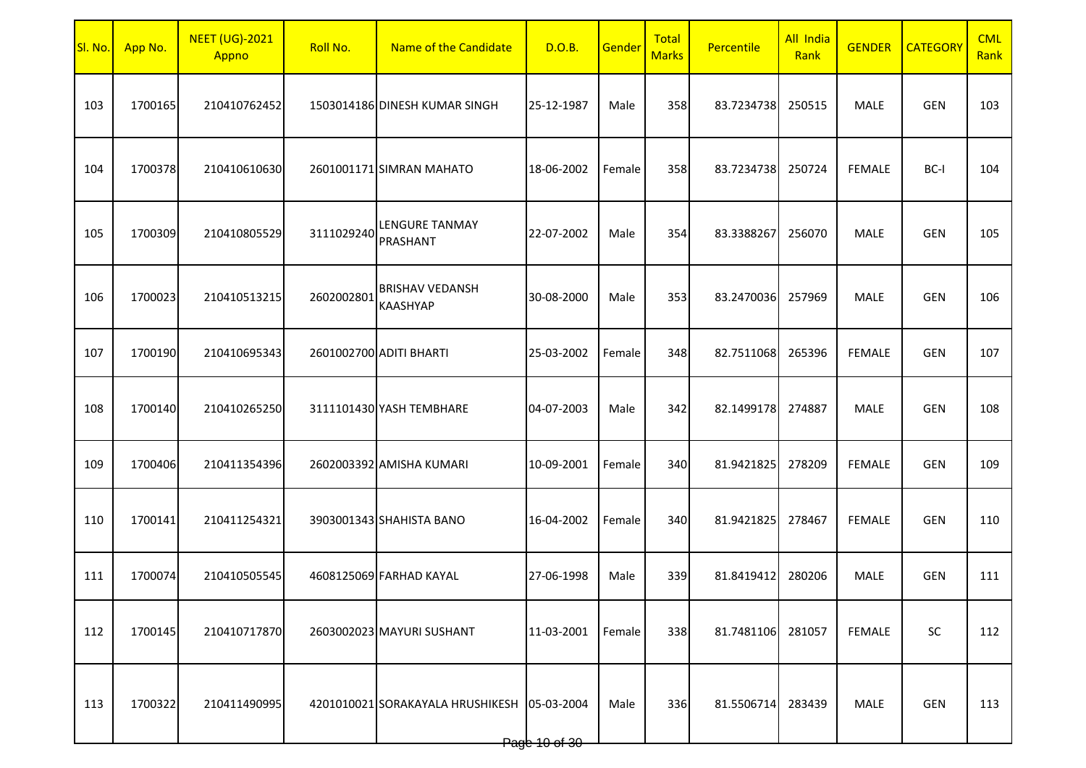| SI. No. | App No. | <b>NEET (UG)-2021</b><br>Appno | Roll No.   | Name of the Candidate                       | D.O.B.        | Gender | <b>Total</b><br><b>Marks</b> | Percentile | All India<br>Rank | <b>GENDER</b> | <b>CATEGORY</b> | <b>CML</b><br>Rank |
|---------|---------|--------------------------------|------------|---------------------------------------------|---------------|--------|------------------------------|------------|-------------------|---------------|-----------------|--------------------|
| 103     | 1700165 | 210410762452                   |            | 1503014186 DINESH KUMAR SINGH               | 25-12-1987    | Male   | 358                          | 83.7234738 | 250515            | MALE          | <b>GEN</b>      | 103                |
| 104     | 1700378 | 210410610630                   |            | 2601001171 SIMRAN MAHATO                    | 18-06-2002    | Female | 358                          | 83.7234738 | 250724            | <b>FEMALE</b> | BC-I            | 104                |
| 105     | 1700309 | 210410805529                   | 3111029240 | <b>LENGURE TANMAY</b><br>PRASHANT           | 22-07-2002    | Male   | 354                          | 83.3388267 | 256070            | MALE          | <b>GEN</b>      | 105                |
| 106     | 1700023 | 210410513215                   | 2602002801 | <b>BRISHAV VEDANSH</b><br><b>KAASHYAP</b>   | 30-08-2000    | Male   | 353                          | 83.2470036 | 257969            | MALE          | <b>GEN</b>      | 106                |
| 107     | 1700190 | 210410695343                   |            | 2601002700 ADITI BHARTI                     | 25-03-2002    | Female | 348                          | 82.7511068 | 265396            | <b>FEMALE</b> | <b>GEN</b>      | 107                |
| 108     | 1700140 | 210410265250                   |            | 3111101430 YASH TEMBHARE                    | 04-07-2003    | Male   | 342                          | 82.1499178 | 274887            | MALE          | <b>GEN</b>      | 108                |
| 109     | 1700406 | 210411354396                   |            | 2602003392 AMISHA KUMARI                    | 10-09-2001    | Female | 340                          | 81.9421825 | 278209            | <b>FEMALE</b> | <b>GEN</b>      | 109                |
| 110     | 1700141 | 210411254321                   |            | 3903001343 SHAHISTA BANO                    | 16-04-2002    | Female | 340                          | 81.9421825 | 278467            | <b>FEMALE</b> | <b>GEN</b>      | 110                |
| 111     | 1700074 | 210410505545                   |            | 4608125069 FARHAD KAYAL                     | 27-06-1998    | Male   | 339                          | 81.8419412 | 280206            | MALE          | <b>GEN</b>      | 111                |
| 112     | 1700145 | 210410717870                   |            | 2603002023 MAYURI SUSHANT                   | 11-03-2001    | Female | 338                          | 81.7481106 | 281057            | <b>FEMALE</b> | SC              | 112                |
| 113     | 1700322 | 210411490995                   |            | 4201010021 SORAKAYALA HRUSHIKESH 05-03-2004 | Page 10 of 30 | Male   | 336                          | 81.5506714 | 283439            | MALE          | <b>GEN</b>      | 113                |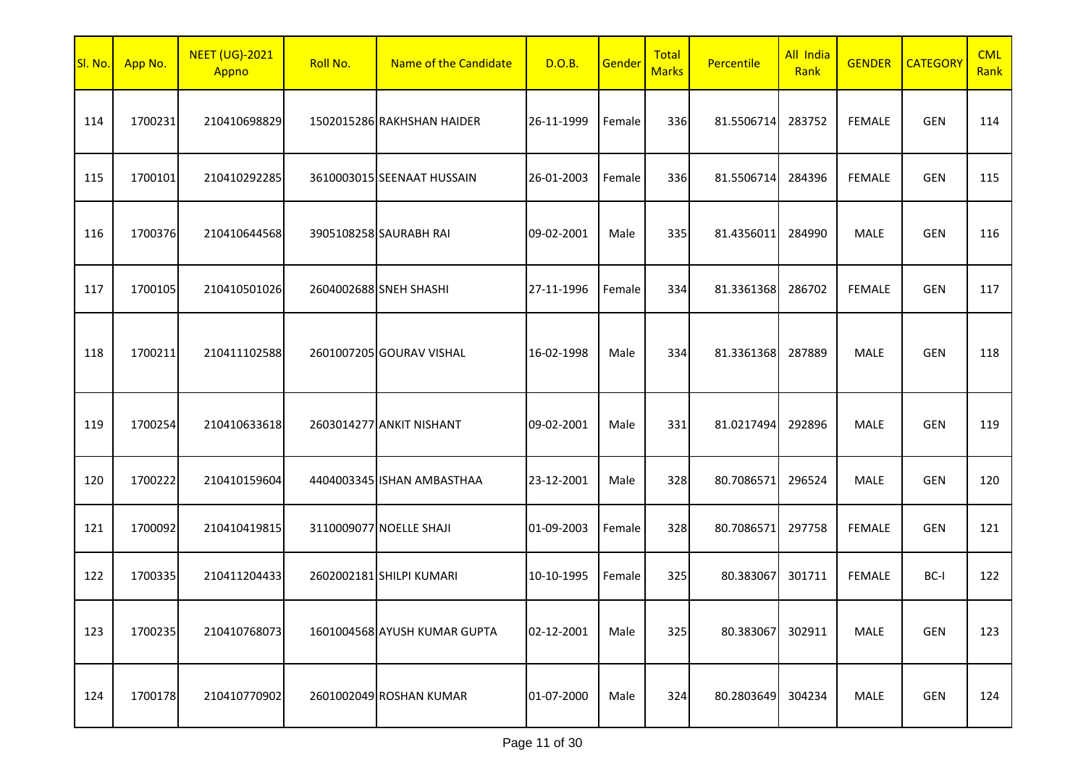| SI. No. | App No. | <b>NEET (UG)-2021</b><br>Appno | Roll No. | Name of the Candidate        | D.O.B.     | Gender | Total<br><b>Marks</b> | Percentile | <b>All India</b><br>Rank | <b>GENDER</b> | <b>CATEGORY</b> | <b>CML</b><br>Rank |
|---------|---------|--------------------------------|----------|------------------------------|------------|--------|-----------------------|------------|--------------------------|---------------|-----------------|--------------------|
| 114     | 1700231 | 210410698829                   |          | 1502015286 RAKHSHAN HAIDER   | 26-11-1999 | Female | 336                   | 81.5506714 | 283752                   | <b>FEMALE</b> | <b>GEN</b>      | 114                |
| 115     | 1700101 | 210410292285                   |          | 3610003015 SEENAAT HUSSAIN   | 26-01-2003 | Female | 336                   | 81.5506714 | 284396                   | <b>FEMALE</b> | <b>GEN</b>      | 115                |
| 116     | 1700376 | 210410644568                   |          | 3905108258 SAURABH RAI       | 09-02-2001 | Male   | 335                   | 81.4356011 | 284990                   | <b>MALE</b>   | <b>GEN</b>      | 116                |
| 117     | 1700105 | 210410501026                   |          | 2604002688 SNEH SHASHI       | 27-11-1996 | Female | 334                   | 81.3361368 | 286702                   | <b>FEMALE</b> | <b>GEN</b>      | 117                |
| 118     | 1700211 | 210411102588                   |          | 2601007205 GOURAV VISHAL     | 16-02-1998 | Male   | 334                   | 81.3361368 | 287889                   | MALE          | <b>GEN</b>      | 118                |
| 119     | 1700254 | 210410633618                   |          | 2603014277 ANKIT NISHANT     | 09-02-2001 | Male   | 331                   | 81.0217494 | 292896                   | MALE          | <b>GEN</b>      | 119                |
| 120     | 1700222 | 210410159604                   |          | 4404003345 ISHAN AMBASTHAA   | 23-12-2001 | Male   | 328                   | 80.7086571 | 296524                   | MALE          | <b>GEN</b>      | 120                |
| 121     | 1700092 | 210410419815                   |          | 3110009077 NOELLE SHAJI      | 01-09-2003 | Female | 328                   | 80.7086571 | 297758                   | <b>FEMALE</b> | <b>GEN</b>      | 121                |
| 122     | 1700335 | 210411204433                   |          | 2602002181 SHILPI KUMARI     | 10-10-1995 | Female | 325                   | 80.383067  | 301711                   | <b>FEMALE</b> | BC-I            | 122                |
| 123     | 1700235 | 210410768073                   |          | 1601004568 AYUSH KUMAR GUPTA | 02-12-2001 | Male   | 325                   | 80.383067  | 302911                   | <b>MALE</b>   | <b>GEN</b>      | 123                |
| 124     | 1700178 | 210410770902                   |          | 2601002049 ROSHAN KUMAR      | 01-07-2000 | Male   | 324                   | 80.2803649 | 304234                   | MALE          | <b>GEN</b>      | 124                |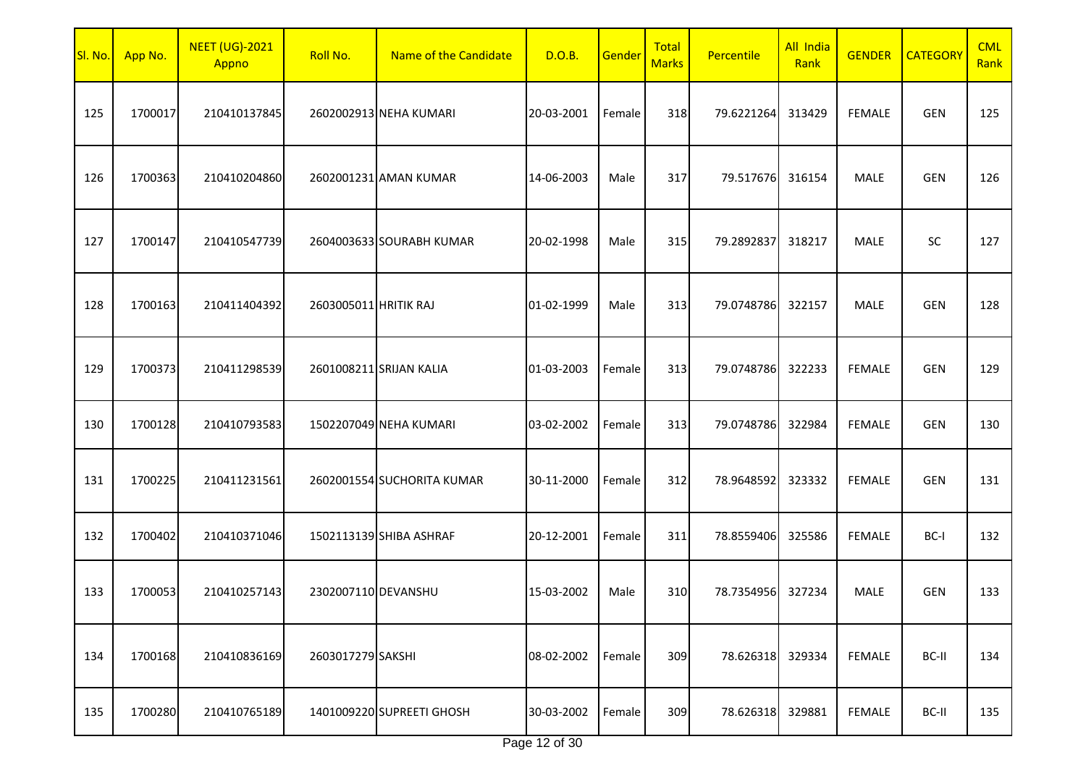| Page 12 of 30 |  |  |
|---------------|--|--|
|---------------|--|--|

| <mark>Sl. No.</mark> | App No. | <b>NEET (UG)-2021</b><br>Appno | Roll No.              | Name of the Candidate      | D.O.B.     | Gender | Total<br><b>Marks</b> | Percentile        | All India<br>Rank | <b>GENDER</b> | <b>CATEGORY</b> | <b>CML</b><br>Rank |
|----------------------|---------|--------------------------------|-----------------------|----------------------------|------------|--------|-----------------------|-------------------|-------------------|---------------|-----------------|--------------------|
| 125                  | 1700017 | 210410137845                   |                       | 2602002913 NEHA KUMARI     | 20-03-2001 | Female | 318                   | 79.6221264        | 313429            | <b>FEMALE</b> | <b>GEN</b>      | 125                |
| 126                  | 1700363 | 210410204860                   |                       | 2602001231 AMAN KUMAR      | 14-06-2003 | Male   | 317                   | 79.517676         | 316154            | <b>MALE</b>   | GEN             | 126                |
| 127                  | 1700147 | 210410547739                   |                       | 2604003633 SOURABH KUMAR   | 20-02-1998 | Male   | 315                   | 79.2892837        | 318217            | <b>MALE</b>   | <b>SC</b>       | 127                |
| 128                  | 1700163 | 210411404392                   | 2603005011 HRITIK RAJ |                            | 01-02-1999 | Male   | 313                   | 79.0748786        | 322157            | <b>MALE</b>   | <b>GEN</b>      | 128                |
| 129                  | 1700373 | 210411298539                   |                       | 2601008211 SRIJAN KALIA    | 01-03-2003 | Female | 313                   | 79.0748786        | 322233            | <b>FEMALE</b> | <b>GEN</b>      | 129                |
| 130                  | 1700128 | 210410793583                   |                       | 1502207049 NEHA KUMARI     | 03-02-2002 | Female | 313                   | 79.0748786        | 322984            | <b>FEMALE</b> | <b>GEN</b>      | 130                |
| 131                  | 1700225 | 210411231561                   |                       | 2602001554 SUCHORITA KUMAR | 30-11-2000 | Female | 312                   | 78.9648592        | 323332            | <b>FEMALE</b> | <b>GEN</b>      | 131                |
| 132                  | 1700402 | 210410371046                   |                       | 1502113139 SHIBA ASHRAF    | 20-12-2001 | Female | 311                   | 78.8559406        | 325586            | <b>FEMALE</b> | BC-I            | 132                |
| 133                  | 1700053 | 210410257143                   | 2302007110 DEVANSHU   |                            | 15-03-2002 | Male   | 310                   | 78.7354956 327234 |                   | <b>MALE</b>   | <b>GEN</b>      | 133                |
| 134                  | 1700168 | 210410836169                   | 2603017279 SAKSHI     |                            | 08-02-2002 | Female | 309                   | 78.626318         | 329334            | <b>FEMALE</b> | BC-II           | 134                |
| 135                  | 1700280 | 210410765189                   |                       | 1401009220 SUPREETI GHOSH  | 30-03-2002 | Female | 309                   | 78.626318         | 329881            | <b>FEMALE</b> | BC-II           | 135                |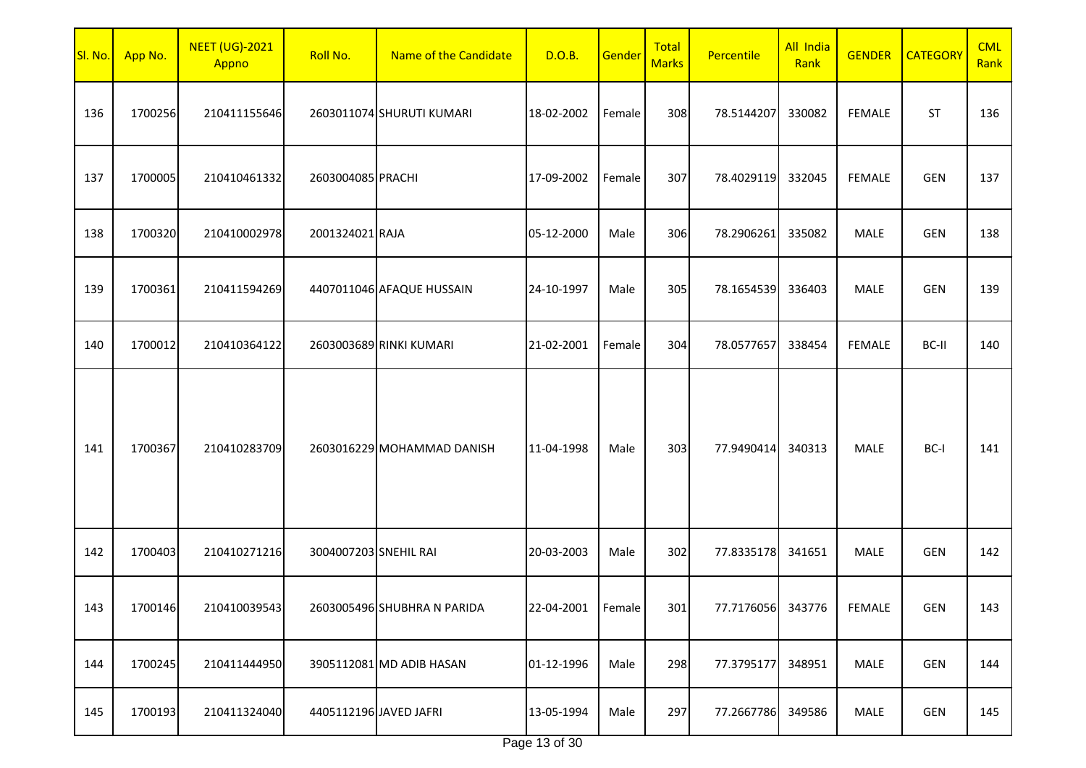| Sl. No. | App No. | <b>NEET (UG)-2021</b><br>Appno | Roll No.               | Name of the Candidate       | D.O.B.              | Gender | Total<br><b>Marks</b> | Percentile        | All India<br>Rank | <b>GENDER</b> | <b>CATEGORY</b> | <b>CML</b><br>Rank |
|---------|---------|--------------------------------|------------------------|-----------------------------|---------------------|--------|-----------------------|-------------------|-------------------|---------------|-----------------|--------------------|
| 136     | 1700256 | 210411155646                   |                        | 2603011074 SHURUTI KUMARI   | 18-02-2002          | Female | 308                   | 78.5144207        | 330082            | <b>FEMALE</b> | <b>ST</b>       | 136                |
| 137     | 1700005 | 210410461332                   | 2603004085 PRACHI      |                             | 17-09-2002          | Female | 307                   | 78.4029119        | 332045            | <b>FEMALE</b> | <b>GEN</b>      | 137                |
| 138     | 1700320 | 210410002978                   | 2001324021 RAJA        |                             | 05-12-2000          | Male   | 306                   | 78.2906261        | 335082            | <b>MALE</b>   | <b>GEN</b>      | 138                |
| 139     | 1700361 | 210411594269                   |                        | 4407011046 AFAQUE HUSSAIN   | 24-10-1997          | Male   | 305                   | 78.1654539        | 336403            | <b>MALE</b>   | <b>GEN</b>      | 139                |
| 140     | 1700012 | 210410364122                   |                        | 2603003689 RINKI KUMARI     | 21-02-2001          | Female | 304                   | 78.0577657        | 338454            | <b>FEMALE</b> | BC-II           | 140                |
| 141     | 1700367 | 210410283709                   |                        | 2603016229 MOHAMMAD DANISH  | 11-04-1998          | Male   | 303                   | 77.9490414        | 340313            | <b>MALE</b>   | BC-I            | 141                |
| 142     | 1700403 | 210410271216                   | 3004007203 SNEHIL RAI  |                             | 20-03-2003          | Male   | 302                   | 77.8335178        | 341651            | <b>MALE</b>   | GEN             | 142                |
| 143     | 1700146 | 210410039543                   |                        | 2603005496 SHUBHRA N PARIDA | 22-04-2001   Female |        | 301                   | 77.7176056 343776 |                   | FEMALE        | <b>GEN</b>      | 143                |
| 144     | 1700245 | 210411444950                   |                        | 3905112081 MD ADIB HASAN    | 01-12-1996          | Male   | 298                   | 77.3795177        | 348951            | MALE          | GEN             | 144                |
| 145     | 1700193 | 210411324040                   | 4405112196 JAVED JAFRI |                             | 13-05-1994          | Male   | 297                   | 77.2667786        | 349586            | MALE          | GEN             | 145                |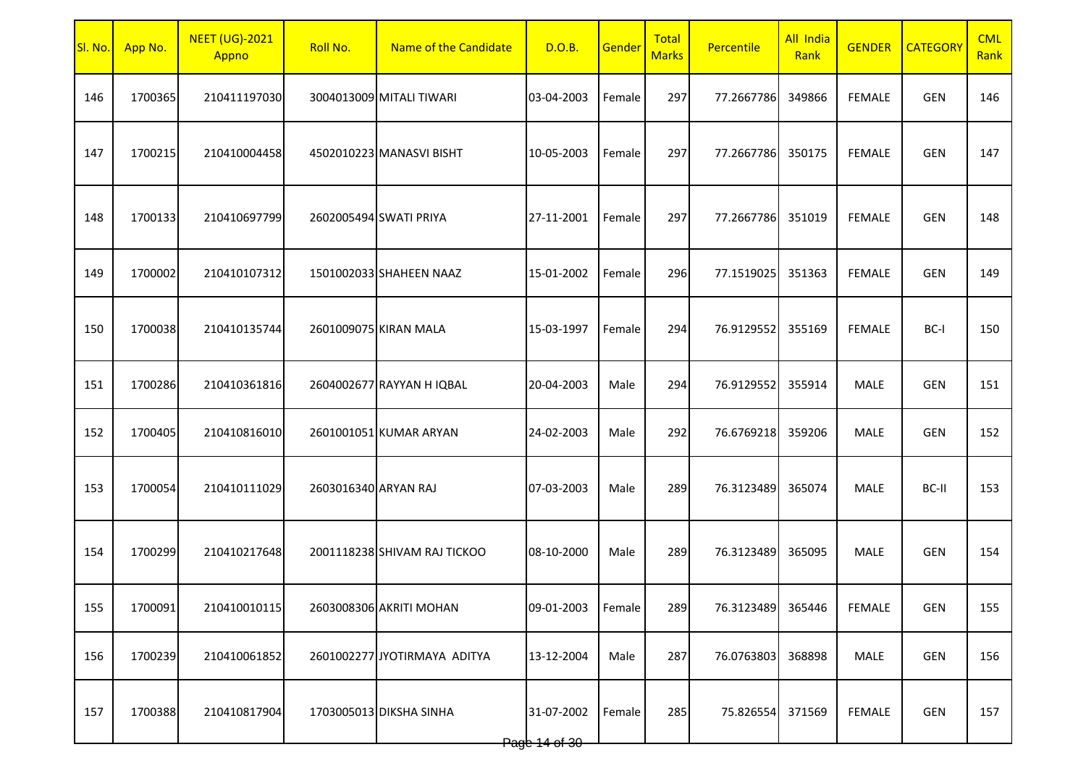| SI. No. | App No. | <b>NEET (UG)-2021</b><br>Appno | Roll No.             | Name of the Candidate        | D.O.B.                      | Gender | Total<br><b>Marks</b> | Percentile | All India<br>Rank | <b>GENDER</b> | <b>CATEGORY</b> | <b>CML</b><br>Rank |
|---------|---------|--------------------------------|----------------------|------------------------------|-----------------------------|--------|-----------------------|------------|-------------------|---------------|-----------------|--------------------|
| 146     | 1700365 | 210411197030                   |                      | 3004013009 MITALI TIWARI     | 03-04-2003                  | Female | 297                   | 77.2667786 | 349866            | <b>FEMALE</b> | <b>GEN</b>      | 146                |
| 147     | 1700215 | 210410004458                   |                      | 4502010223 MANASVI BISHT     | 10-05-2003                  | Female | 297                   | 77.2667786 | 350175            | <b>FEMALE</b> | <b>GEN</b>      | 147                |
| 148     | 1700133 | 210410697799                   |                      | 2602005494 SWATI PRIYA       | 27-11-2001                  | Female | 297                   | 77.2667786 | 351019            | <b>FEMALE</b> | <b>GEN</b>      | 148                |
| 149     | 1700002 | 210410107312                   |                      | 1501002033 SHAHEEN NAAZ      | 15-01-2002                  | Female | 296                   | 77.1519025 | 351363            | <b>FEMALE</b> | <b>GEN</b>      | 149                |
| 150     | 1700038 | 210410135744                   |                      | 2601009075 KIRAN MALA        | 15-03-1997                  | Female | 294                   | 76.9129552 | 355169            | <b>FEMALE</b> | BC-I            | 150                |
| 151     | 1700286 | 210410361816                   |                      | 2604002677 RAYYAN H IQBAL    | 20-04-2003                  | Male   | 294                   | 76.9129552 | 355914            | <b>MALE</b>   | <b>GEN</b>      | 151                |
| 152     | 1700405 | 210410816010                   |                      | 2601001051 KUMAR ARYAN       | 24-02-2003                  | Male   | 292                   | 76.6769218 | 359206            | MALE          | <b>GEN</b>      | 152                |
| 153     | 1700054 | 210410111029                   | 2603016340 ARYAN RAJ |                              | 07-03-2003                  | Male   | 289                   | 76.3123489 | 365074            | MALE          | BC-II           | 153                |
| 154     | 1700299 | 210410217648                   |                      | 2001118238 SHIVAM RAJ TICKOO | 08-10-2000                  | Male   | 289                   | 76.3123489 | 365095            | MALE          | <b>GEN</b>      | 154                |
| 155     | 1700091 | 210410010115                   |                      | 2603008306 AKRITI MOHAN      | 09-01-2003                  | Female | 289                   | 76.3123489 | 365446            | <b>FEMALE</b> | <b>GEN</b>      | 155                |
| 156     | 1700239 | 210410061852                   |                      | 2601002277 JYOTIRMAYA ADITYA | 13-12-2004                  | Male   | 287                   | 76.0763803 | 368898            | MALE          | <b>GEN</b>      | 156                |
| 157     | 1700388 | 210410817904                   |                      | 1703005013 DIKSHA SINHA      | 31-07-2002<br>Page 14 of 30 | Female | 285                   | 75.826554  | 371569            | <b>FEMALE</b> | GEN             | 157                |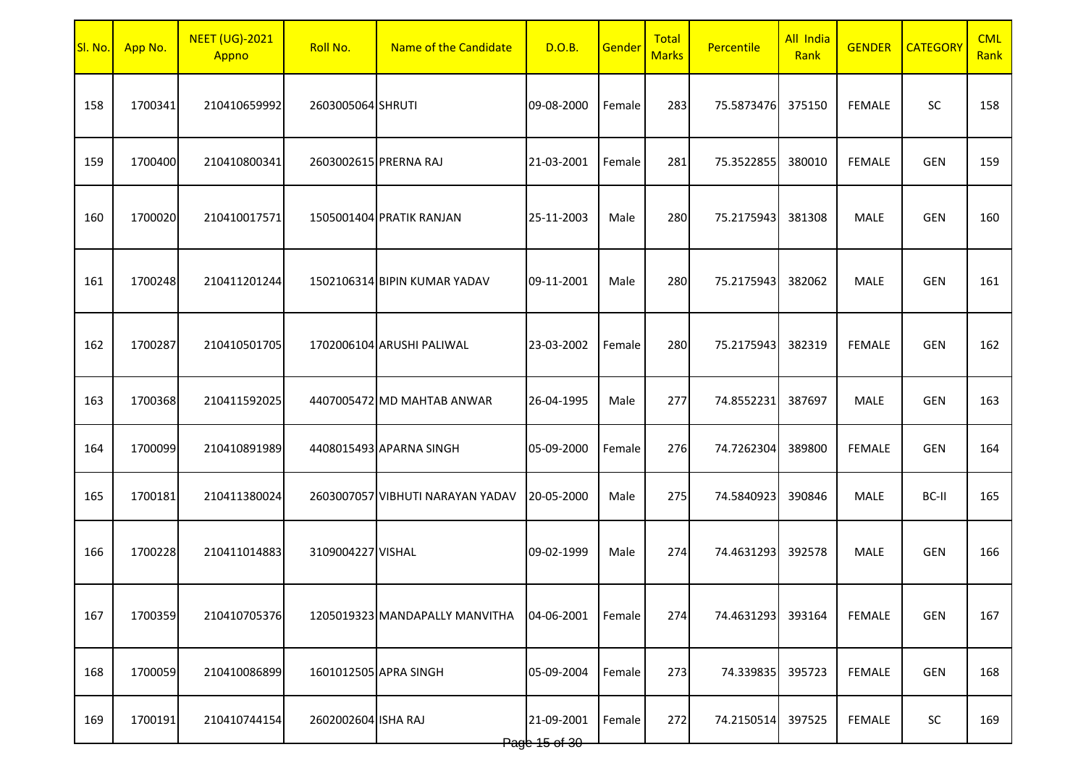| Sl. No. | App No. | <b>NEET (UG)-2021</b><br>Appno | Roll No.              | Name of the Candidate            | D.O.B.                      | Gender | <b>Total</b><br><b>Marks</b> | <b>Percentile</b> | All India<br>Rank | <b>GENDER</b> | <b>CATEGORY</b> | <b>CML</b><br>Rank |
|---------|---------|--------------------------------|-----------------------|----------------------------------|-----------------------------|--------|------------------------------|-------------------|-------------------|---------------|-----------------|--------------------|
| 158     | 1700341 | 210410659992                   | 2603005064 SHRUTI     |                                  | 09-08-2000                  | Female | 283                          | 75.5873476        | 375150            | <b>FEMALE</b> | <b>SC</b>       | 158                |
| 159     | 1700400 | 210410800341                   | 2603002615 PRERNA RAJ |                                  | 21-03-2001                  | Female | 281                          | 75.3522855        | 380010            | <b>FEMALE</b> | GEN             | 159                |
| 160     | 1700020 | 210410017571                   |                       | 1505001404 PRATIK RANJAN         | 25-11-2003                  | Male   | 280                          | 75.2175943        | 381308            | MALE          | <b>GEN</b>      | 160                |
| 161     | 1700248 | 210411201244                   |                       | 1502106314 BIPIN KUMAR YADAV     | 09-11-2001                  | Male   | 280                          | 75.2175943        | 382062            | MALE          | GEN             | 161                |
| 162     | 1700287 | 210410501705                   |                       | 1702006104 ARUSHI PALIWAL        | 23-03-2002                  | Female | 280                          | 75.2175943        | 382319            | <b>FEMALE</b> | <b>GEN</b>      | 162                |
| 163     | 1700368 | 210411592025                   |                       | 4407005472 MD MAHTAB ANWAR       | 26-04-1995                  | Male   | 277                          | 74.8552231        | 387697            | MALE          | GEN             | 163                |
| 164     | 1700099 | 210410891989                   |                       | 4408015493 APARNA SINGH          | 05-09-2000                  | Female | 276                          | 74.7262304        | 389800            | <b>FEMALE</b> | <b>GEN</b>      | 164                |
| 165     | 1700181 | 210411380024                   |                       | 2603007057 VIBHUTI NARAYAN YADAV | 20-05-2000                  | Male   | 275                          | 74.5840923        | 390846            | MALE          | BC-II           | 165                |
| 166     | 1700228 | 210411014883                   | 3109004227 VISHAL     |                                  | 09-02-1999                  | Male   | 274                          | 74.4631293        | 392578            | MALE          | GEN             | 166                |
| 167     | 1700359 | 210410705376                   |                       | 1205019323 MANDAPALLY MANVITHA   | 04-06-2001                  | Female | 274                          | 74.4631293        | 393164            | <b>FEMALE</b> | <b>GEN</b>      | 167                |
| 168     | 1700059 | 210410086899                   | 1601012505 APRA SINGH |                                  | 05-09-2004                  | Female | 273                          | 74.339835         | 395723            | <b>FEMALE</b> | <b>GEN</b>      | 168                |
| 169     | 1700191 | 210410744154                   | 2602002604 ISHA RAJ   |                                  | 21-09-2001<br>Page 15 of 30 | Female | 272                          | 74.2150514        | 397525            | <b>FEMALE</b> | SC              | 169                |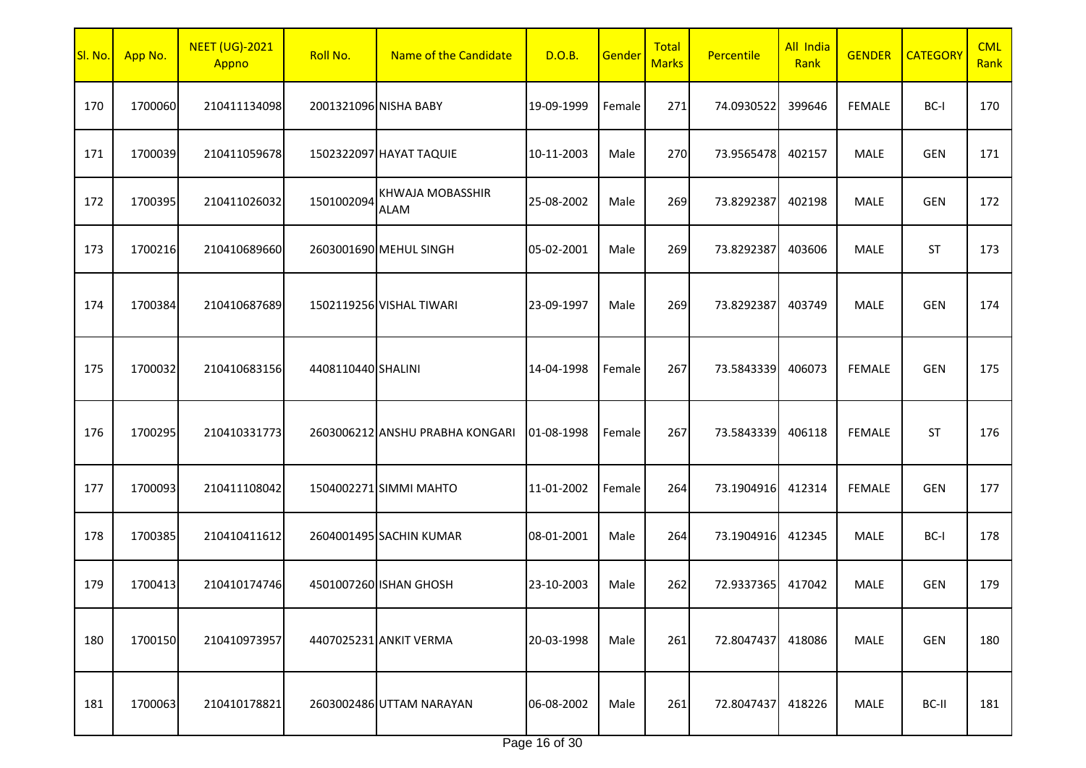| SI. No. | App No. | <b>NEET (UG)-2021</b><br>Appno | Roll No.              | Name of the Candidate           | D.O.B.     | Gender | Total<br><b>Marks</b> | Percentile | All India<br>Rank | <b>GENDER</b> | <b>CATEGORY</b> | <b>CML</b><br>Rank |
|---------|---------|--------------------------------|-----------------------|---------------------------------|------------|--------|-----------------------|------------|-------------------|---------------|-----------------|--------------------|
| 170     | 1700060 | 210411134098                   | 2001321096 NISHA BABY |                                 | 19-09-1999 | Female | 271                   | 74.0930522 | 399646            | <b>FEMALE</b> | BC-I            | 170                |
| 171     | 1700039 | 210411059678                   |                       | 1502322097 HAYAT TAQUIE         | 10-11-2003 | Male   | 270                   | 73.9565478 | 402157            | MALE          | <b>GEN</b>      | 171                |
| 172     | 1700395 | 210411026032                   | 1501002094            | KHWAJA MOBASSHIR<br><b>ALAM</b> | 25-08-2002 | Male   | 269                   | 73.8292387 | 402198            | <b>MALE</b>   | <b>GEN</b>      | 172                |
| 173     | 1700216 | 210410689660                   |                       | 2603001690 MEHUL SINGH          | 05-02-2001 | Male   | 269                   | 73.8292387 | 403606            | <b>MALE</b>   | <b>ST</b>       | 173                |
| 174     | 1700384 | 210410687689                   |                       | 1502119256 VISHAL TIWARI        | 23-09-1997 | Male   | 269                   | 73.8292387 | 403749            | <b>MALE</b>   | <b>GEN</b>      | 174                |
| 175     | 1700032 | 210410683156                   | 4408110440 SHALINI    |                                 | 14-04-1998 | Female | 267                   | 73.5843339 | 406073            | <b>FEMALE</b> | <b>GEN</b>      | 175                |
| 176     | 1700295 | 210410331773                   |                       | 2603006212 ANSHU PRABHA KONGARI | 01-08-1998 | Female | 267                   | 73.5843339 | 406118            | <b>FEMALE</b> | <b>ST</b>       | 176                |
| 177     | 1700093 | 210411108042                   |                       | 1504002271 SIMMI MAHTO          | 11-01-2002 | Female | 264                   | 73.1904916 | 412314            | <b>FEMALE</b> | <b>GEN</b>      | 177                |
| 178     | 1700385 | 210410411612                   |                       | 2604001495 SACHIN KUMAR         | 08-01-2001 | Male   | 264                   | 73.1904916 | 412345            | <b>MALE</b>   | BC-I            | 178                |
| 179     | 1700413 | 210410174746                   |                       | 4501007260 ISHAN GHOSH          | 23-10-2003 | Male   | 262                   | 72.9337365 | 417042            | <b>MALE</b>   | <b>GEN</b>      | 179                |
| 180     | 1700150 | 210410973957                   |                       | 4407025231 ANKIT VERMA          | 20-03-1998 | Male   | 261                   | 72.8047437 | 418086            | MALE          | GEN             | 180                |
| 181     | 1700063 | 210410178821                   |                       | 2603002486 UTTAM NARAYAN        | 06-08-2002 | Male   | 261                   | 72.8047437 | 418226            | MALE          | BC-II           | 181                |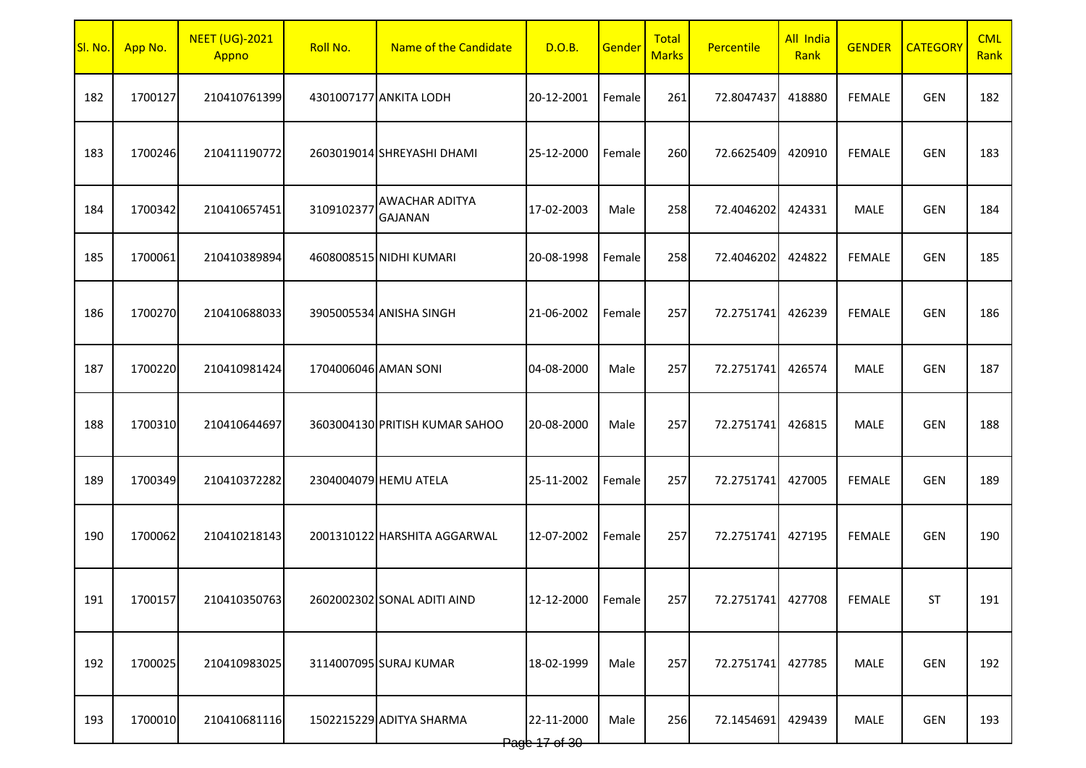| Sl. No. | App No. | <b>NEET (UG)-2021</b><br>Appno | Roll No.             | Name of the Candidate                   | D.O.B.                      | Gender | <b>Total</b><br><b>Marks</b> | Percentile        | <b>All India</b><br>Rank | <b>GENDER</b> | <b>CATEGORY</b> | <b>CML</b><br>Rank |
|---------|---------|--------------------------------|----------------------|-----------------------------------------|-----------------------------|--------|------------------------------|-------------------|--------------------------|---------------|-----------------|--------------------|
| 182     | 1700127 | 210410761399                   |                      | 4301007177 ANKITA LODH                  | 20-12-2001                  | Female | 261                          | 72.8047437        | 418880                   | <b>FEMALE</b> | <b>GEN</b>      | 182                |
| 183     | 1700246 | 210411190772                   |                      | 2603019014 SHREYASHI DHAMI              | 25-12-2000                  | Female | 260                          | 72.6625409        | 420910                   | <b>FEMALE</b> | <b>GEN</b>      | 183                |
| 184     | 1700342 | 210410657451                   | 3109102377           | <b>AWACHAR ADITYA</b><br><b>GAJANAN</b> | 17-02-2003                  | Male   | 258                          | 72.4046202        | 424331                   | MALE          | <b>GEN</b>      | 184                |
| 185     | 1700061 | 210410389894                   |                      | 4608008515 NIDHI KUMARI                 | 20-08-1998                  | Female | 258                          | 72.4046202        | 424822                   | <b>FEMALE</b> | <b>GEN</b>      | 185                |
| 186     | 1700270 | 210410688033                   |                      | 3905005534 ANISHA SINGH                 | 21-06-2002                  | Female | 257                          | 72.2751741        | 426239                   | <b>FEMALE</b> | <b>GEN</b>      | 186                |
| 187     | 1700220 | 210410981424                   | 1704006046 AMAN SONI |                                         | 04-08-2000                  | Male   | 257                          | 72.2751741        | 426574                   | MALE          | <b>GEN</b>      | 187                |
| 188     | 1700310 | 210410644697                   |                      | 3603004130 PRITISH KUMAR SAHOO          | 20-08-2000                  | Male   | 257                          | 72.2751741        | 426815                   | MALE          | <b>GEN</b>      | 188                |
| 189     | 1700349 | 210410372282                   |                      | 2304004079 HEMU ATELA                   | 25-11-2002                  | Female | 257                          | 72.2751741        | 427005                   | <b>FEMALE</b> | <b>GEN</b>      | 189                |
| 190     | 1700062 | 210410218143                   |                      | 2001310122 HARSHITA AGGARWAL            | 12-07-2002                  | Female | 257                          | 72.2751741        | 427195                   | <b>FEMALE</b> | <b>GEN</b>      | 190                |
| 191     | 1700157 | 210410350763                   |                      | 2602002302 SONAL ADITI AIND             | 12-12-2000 Female           |        | 257                          | 72.2751741 427708 |                          | FEMALE        | ST              | 191                |
| 192     | 1700025 | 210410983025                   |                      | 3114007095 SURAJ KUMAR                  | 18-02-1999                  | Male   | 257                          | 72.2751741        | 427785                   | MALE          | <b>GEN</b>      | 192                |
| 193     | 1700010 | 210410681116                   |                      | 1502215229 ADITYA SHARMA                | 22-11-2000<br>Page 17 of 30 | Male   | 256                          | 72.1454691        | 429439                   | MALE          | GEN             | 193                |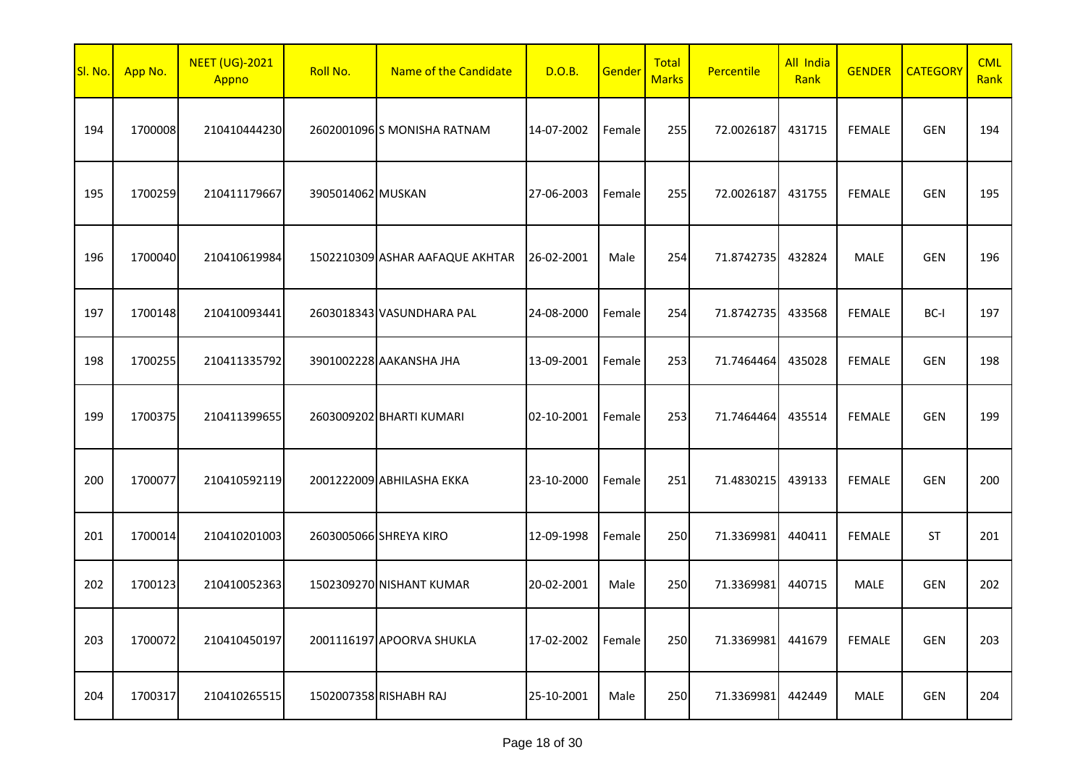| SI. No. | App No. | <b>NEET (UG)-2021</b><br>Appno | Roll No.          | Name of the Candidate           | D.O.B.     | Gender | <b>Total</b><br><b>Marks</b> | Percentile | All India<br>Rank | <b>GENDER</b> | <b>CATEGORY</b> | <b>CML</b><br>Rank |
|---------|---------|--------------------------------|-------------------|---------------------------------|------------|--------|------------------------------|------------|-------------------|---------------|-----------------|--------------------|
| 194     | 1700008 | 210410444230                   |                   | 2602001096 S MONISHA RATNAM     | 14-07-2002 | Female | 255                          | 72.0026187 | 431715            | <b>FEMALE</b> | <b>GEN</b>      | 194                |
| 195     | 1700259 | 210411179667                   | 3905014062 MUSKAN |                                 | 27-06-2003 | Female | 255                          | 72.0026187 | 431755            | <b>FEMALE</b> | <b>GEN</b>      | 195                |
| 196     | 1700040 | 210410619984                   |                   | 1502210309 ASHAR AAFAQUE AKHTAR | 26-02-2001 | Male   | 254                          | 71.8742735 | 432824            | <b>MALE</b>   | <b>GEN</b>      | 196                |
| 197     | 1700148 | 210410093441                   |                   | 2603018343 VASUNDHARA PAL       | 24-08-2000 | Female | 254                          | 71.8742735 | 433568            | <b>FEMALE</b> | BC-I            | 197                |
| 198     | 1700255 | 210411335792                   |                   | 3901002228 AAKANSHA JHA         | 13-09-2001 | Female | 253                          | 71.7464464 | 435028            | <b>FEMALE</b> | <b>GEN</b>      | 198                |
| 199     | 1700375 | 210411399655                   |                   | 2603009202 BHARTI KUMARI        | 02-10-2001 | Female | 253                          | 71.7464464 | 435514            | <b>FEMALE</b> | <b>GEN</b>      | 199                |
| 200     | 1700077 | 210410592119                   |                   | 2001222009 ABHILASHA EKKA       | 23-10-2000 | Female | 251                          | 71.4830215 | 439133            | <b>FEMALE</b> | <b>GEN</b>      | 200                |
| 201     | 1700014 | 210410201003                   |                   | 2603005066 SHREYA KIRO          | 12-09-1998 | Female | 250                          | 71.3369981 | 440411            | <b>FEMALE</b> | <b>ST</b>       | 201                |
| 202     | 1700123 | 210410052363                   |                   | 1502309270 NISHANT KUMAR        | 20-02-2001 | Male   | 250                          | 71.3369981 | 440715            | MALE          | GEN             | 202                |
| 203     | 1700072 | 210410450197                   |                   | 2001116197 APOORVA SHUKLA       | 17-02-2002 | Female | 250                          | 71.3369981 | 441679            | <b>FEMALE</b> | GEN             | 203                |
| 204     | 1700317 | 210410265515                   |                   | 1502007358 RISHABH RAJ          | 25-10-2001 | Male   | 250                          | 71.3369981 | 442449            | MALE          | GEN             | 204                |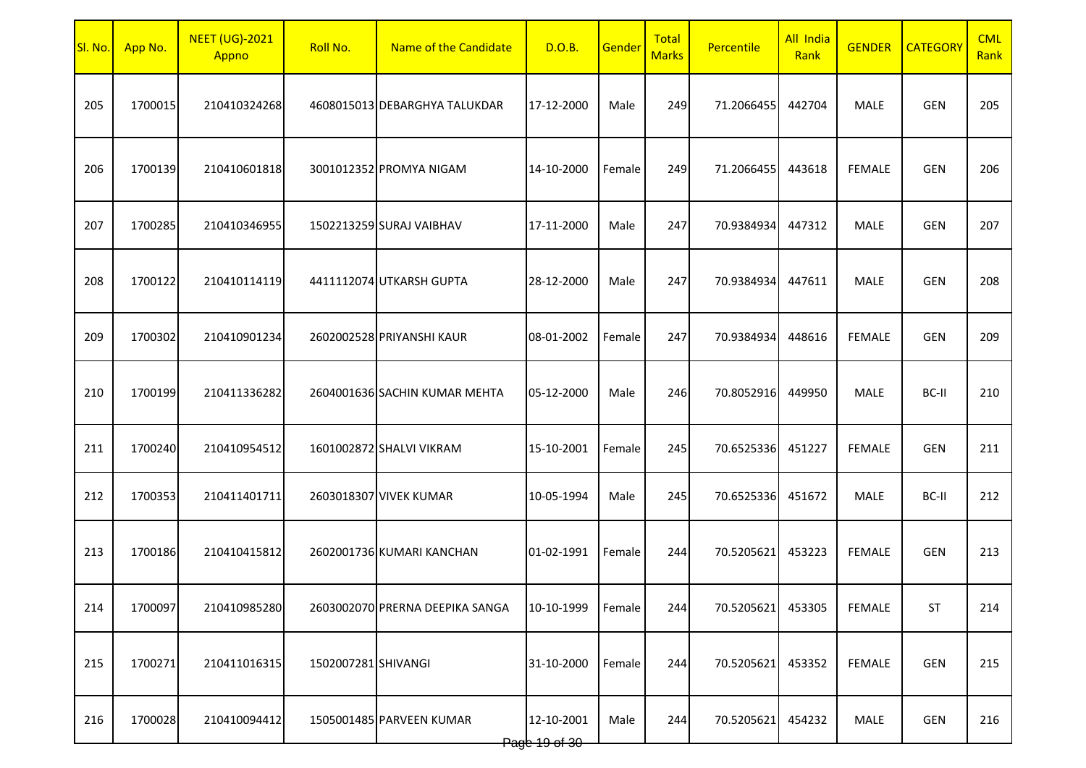| SI. No. | App No. | <b>NEET (UG)-2021</b><br>Appno | <b>Roll No.</b>     | Name of the Candidate           | <b>D.O.B.</b>               | Gender | Total<br><b>Marks</b> | Percentile | <b>All India</b><br>Rank | <b>GENDER</b> | <b>CATEGORY</b> | <b>CML</b><br>Rank |
|---------|---------|--------------------------------|---------------------|---------------------------------|-----------------------------|--------|-----------------------|------------|--------------------------|---------------|-----------------|--------------------|
| 205     | 1700015 | 210410324268                   |                     | 4608015013 DEBARGHYA TALUKDAR   | 17-12-2000                  | Male   | 249                   | 71.2066455 | 442704                   | <b>MALE</b>   | GEN             | 205                |
| 206     | 1700139 | 210410601818                   |                     | 3001012352 PROMYA NIGAM         | 14-10-2000                  | Female | 249                   | 71.2066455 | 443618                   | <b>FEMALE</b> | GEN             | 206                |
| 207     | 1700285 | 210410346955                   |                     | 1502213259 SURAJ VAIBHAV        | 17-11-2000                  | Male   | 247                   | 70.9384934 | 447312                   | <b>MALE</b>   | <b>GEN</b>      | 207                |
| 208     | 1700122 | 210410114119                   |                     | 4411112074 UTKARSH GUPTA        | 28-12-2000                  | Male   | 247                   | 70.9384934 | 447611                   | <b>MALE</b>   | <b>GEN</b>      | 208                |
| 209     | 1700302 | 210410901234                   |                     | 2602002528 PRIYANSHI KAUR       | 08-01-2002                  | Female | 247                   | 70.9384934 | 448616                   | <b>FEMALE</b> | <b>GEN</b>      | 209                |
| 210     | 1700199 | 210411336282                   |                     | 2604001636 SACHIN KUMAR MEHTA   | 05-12-2000                  | Male   | 246                   | 70.8052916 | 449950                   | MALE          | BC-II           | 210                |
| 211     | 1700240 | 210410954512                   |                     | 1601002872 SHALVI VIKRAM        | 15-10-2001                  | Female | 245                   | 70.6525336 | 451227                   | <b>FEMALE</b> | <b>GEN</b>      | 211                |
| 212     | 1700353 | 210411401711                   |                     | 2603018307 VIVEK KUMAR          | 10-05-1994                  | Male   | 245                   | 70.6525336 | 451672                   | <b>MALE</b>   | BC-II           | 212                |
| 213     | 1700186 | 210410415812                   |                     | 2602001736 KUMARI KANCHAN       | 01-02-1991                  | Female | 244                   | 70.5205621 | 453223                   | <b>FEMALE</b> | <b>GEN</b>      | 213                |
| 214     | 1700097 | 210410985280                   |                     | 2603002070 PRERNA DEEPIKA SANGA | 10-10-1999                  | Female | 244                   | 70.5205621 | 453305                   | <b>FEMALE</b> | <b>ST</b>       | 214                |
| 215     | 1700271 | 210411016315                   | 1502007281 SHIVANGI |                                 | 31-10-2000                  | Female | 244                   | 70.5205621 | 453352                   | <b>FEMALE</b> | <b>GEN</b>      | 215                |
| 216     | 1700028 | 210410094412                   |                     | 1505001485 PARVEEN KUMAR        | 12-10-2001<br>Page 19 of 30 | Male   | 244                   | 70.5205621 | 454232                   | MALE          | <b>GEN</b>      | 216                |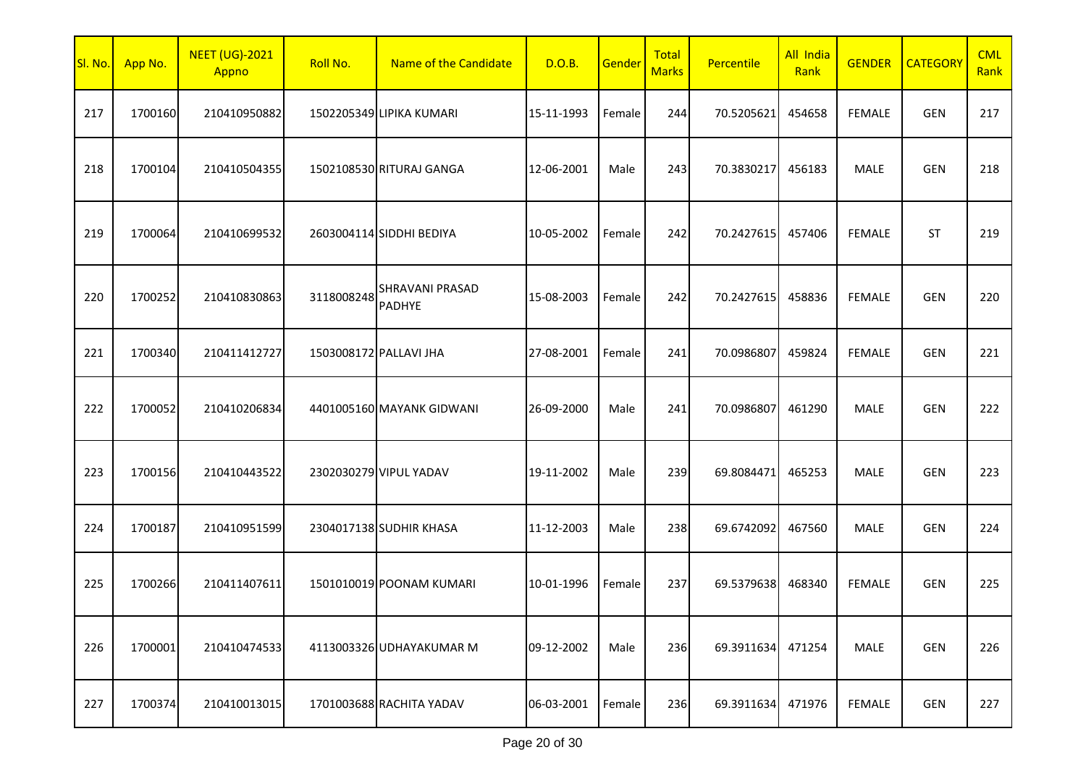| SI. No. | App No. | <b>NEET (UG)-2021</b><br>Appno | Roll No.               | Name of the Candidate            | D.O.B.     | Gender | <b>Total</b><br><b>Marks</b> | Percentile | All India<br>Rank | <b>GENDER</b> | <b>CATEGORY</b> | <b>CML</b><br>Rank |
|---------|---------|--------------------------------|------------------------|----------------------------------|------------|--------|------------------------------|------------|-------------------|---------------|-----------------|--------------------|
| 217     | 1700160 | 210410950882                   |                        | 1502205349 LIPIKA KUMARI         | 15-11-1993 | Female | 244                          | 70.5205621 | 454658            | <b>FEMALE</b> | <b>GEN</b>      | 217                |
| 218     | 1700104 | 210410504355                   |                        | 1502108530 RITURAJ GANGA         | 12-06-2001 | Male   | 243                          | 70.3830217 | 456183            | MALE          | <b>GEN</b>      | 218                |
| 219     | 1700064 | 210410699532                   |                        | 2603004114 SIDDHI BEDIYA         | 10-05-2002 | Female | 242                          | 70.2427615 | 457406            | <b>FEMALE</b> | <b>ST</b>       | 219                |
| 220     | 1700252 | 210410830863                   | 3118008248             | <b>SHRAVANI PRASAD</b><br>PADHYE | 15-08-2003 | Female | 242                          | 70.2427615 | 458836            | <b>FEMALE</b> | <b>GEN</b>      | 220                |
| 221     | 1700340 | 210411412727                   | 1503008172 PALLAVI JHA |                                  | 27-08-2001 | Female | 241                          | 70.0986807 | 459824            | <b>FEMALE</b> | <b>GEN</b>      | 221                |
| 222     | 1700052 | 210410206834                   |                        | 4401005160 MAYANK GIDWANI        | 26-09-2000 | Male   | 241                          | 70.0986807 | 461290            | MALE          | <b>GEN</b>      | 222                |
| 223     | 1700156 | 210410443522                   |                        | 2302030279 VIPUL YADAV           | 19-11-2002 | Male   | 239                          | 69.8084471 | 465253            | MALE          | <b>GEN</b>      | 223                |
| 224     | 1700187 | 210410951599                   |                        | 2304017138 SUDHIR KHASA          | 11-12-2003 | Male   | 238                          | 69.6742092 | 467560            | MALE          | <b>GEN</b>      | 224                |
| 225     | 1700266 | 210411407611                   |                        | 1501010019 POONAM KUMARI         | 10-01-1996 | Female | 237                          | 69.5379638 | 468340            | <b>FEMALE</b> | <b>GEN</b>      | 225                |
| 226     | 1700001 | 210410474533                   |                        | 4113003326 UDHAYAKUMAR M         | 09-12-2002 | Male   | 236                          | 69.3911634 | 471254            | MALE          | GEN             | 226                |
| 227     | 1700374 | 210410013015                   |                        | 1701003688 RACHITA YADAV         | 06-03-2001 | Female | 236                          | 69.3911634 | 471976            | <b>FEMALE</b> | <b>GEN</b>      | 227                |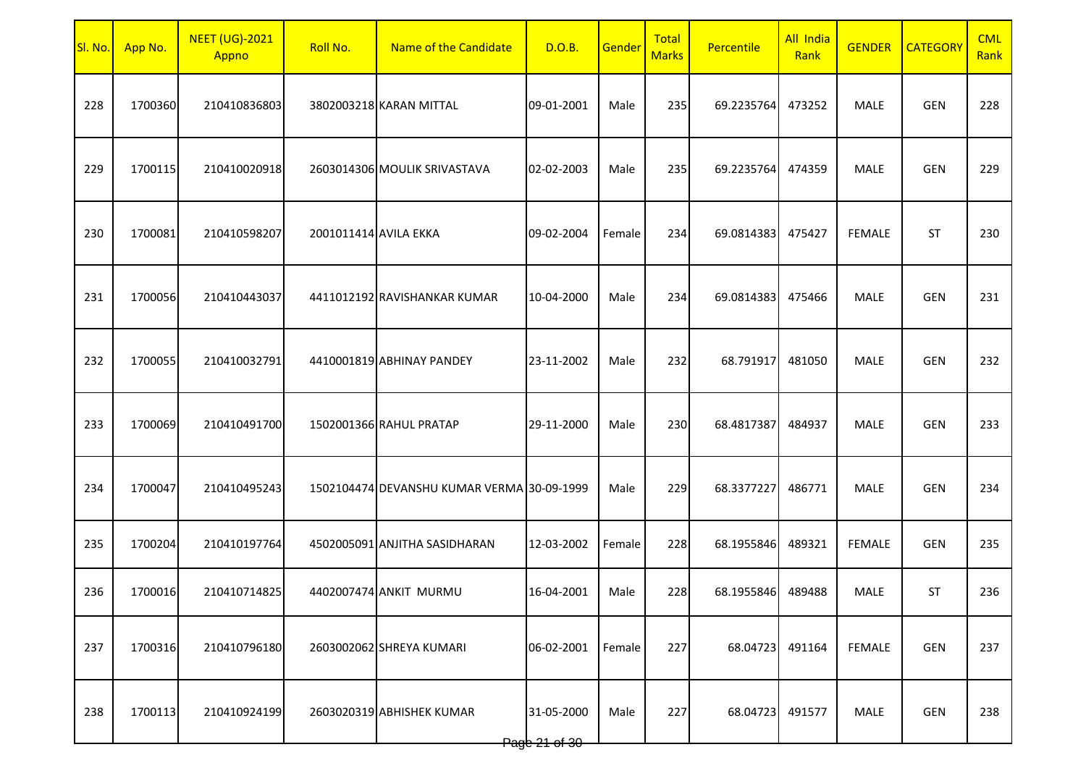| SI. No. | App No. | <b>NEET (UG)-2021</b><br>Appno | Roll No.              | Name of the Candidate                      | <b>D.O.B.</b>               | Gender | Total<br><b>Marks</b> | Percentile        | All India<br>Rank | <b>GENDER</b> | <b>CATEGORY</b> | <b>CML</b><br>Rank |
|---------|---------|--------------------------------|-----------------------|--------------------------------------------|-----------------------------|--------|-----------------------|-------------------|-------------------|---------------|-----------------|--------------------|
| 228     | 1700360 | 210410836803                   |                       | 3802003218 KARAN MITTAL                    | 09-01-2001                  | Male   | 235                   | 69.2235764        | 473252            | MALE          | <b>GEN</b>      | 228                |
| 229     | 1700115 | 210410020918                   |                       | 2603014306 MOULIK SRIVASTAVA               | 02-02-2003                  | Male   | 235                   | 69.2235764        | 474359            | MALE          | <b>GEN</b>      | 229                |
| 230     | 1700081 | 210410598207                   | 2001011414 AVILA EKKA |                                            | 09-02-2004                  | Female | 234                   | 69.0814383        | 475427            | <b>FEMALE</b> | <b>ST</b>       | 230                |
| 231     | 1700056 | 210410443037                   |                       | 4411012192 RAVISHANKAR KUMAR               | 10-04-2000                  | Male   | 234                   | 69.0814383        | 475466            | MALE          | <b>GEN</b>      | 231                |
| 232     | 1700055 | 210410032791                   |                       | 4410001819 ABHINAY PANDEY                  | 23-11-2002                  | Male   | 232                   | 68.791917         | 481050            | MALE          | <b>GEN</b>      | 232                |
| 233     | 1700069 | 210410491700                   |                       | 1502001366 RAHUL PRATAP                    | 29-11-2000                  | Male   | 230                   | 68.4817387        | 484937            | <b>MALE</b>   | <b>GEN</b>      | 233                |
| 234     | 1700047 | 210410495243                   |                       | 1502104474 DEVANSHU KUMAR VERMA 30-09-1999 |                             | Male   | 229                   | 68.3377227        | 486771            | MALE          | <b>GEN</b>      | 234                |
| 235     | 1700204 | 210410197764                   |                       | 4502005091 ANJITHA SASIDHARAN              | 12-03-2002                  | Female | 228                   | 68.1955846        | 489321            | <b>FEMALE</b> | <b>GEN</b>      | 235                |
| 236     | 1700016 | 210410714825                   |                       | 4402007474 ANKIT MURMU                     | 16-04-2001                  | Male   | 228                   | 68.1955846 489488 |                   | MALE          | <b>ST</b>       | 236                |
| 237     | 1700316 | 210410796180                   |                       | 2603002062 SHREYA KUMARI                   | 06-02-2001                  | Female | 227                   | 68.04723          | 491164            | <b>FEMALE</b> | <b>GEN</b>      | 237                |
| 238     | 1700113 | 210410924199                   |                       | 2603020319 ABHISHEK KUMAR                  | 31-05-2000<br>Page 21 of 30 | Male   | 227                   | 68.04723          | 491577            | MALE          | <b>GEN</b>      | 238                |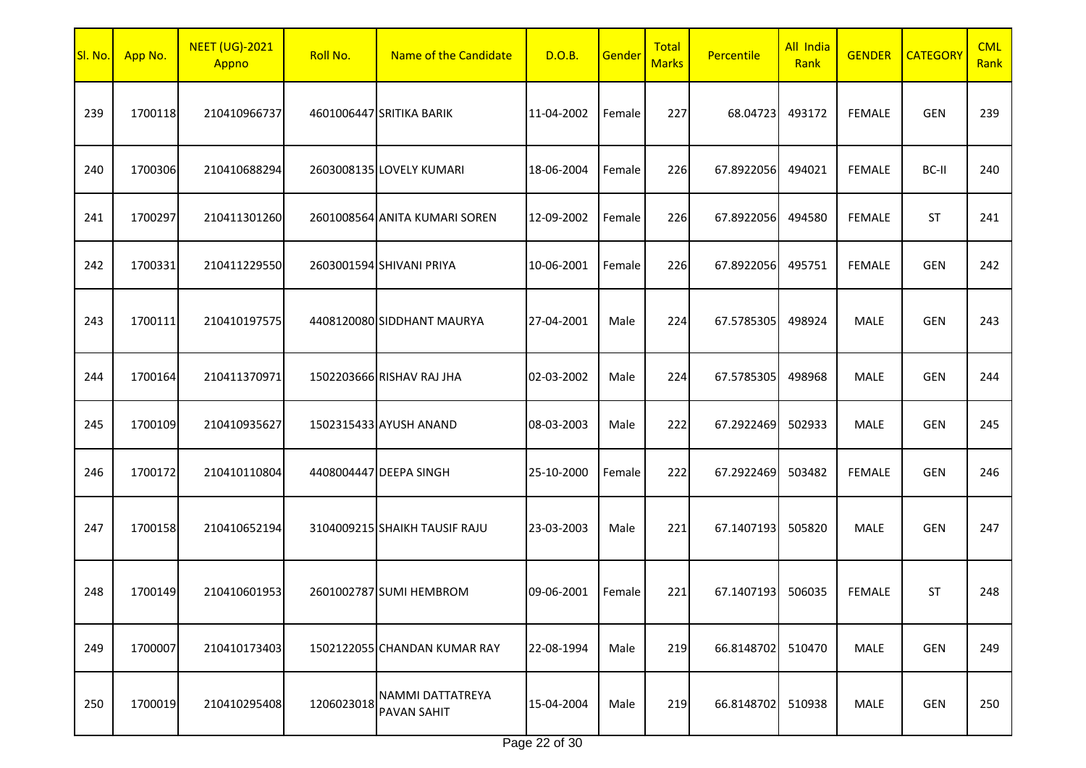| SI. No. | App No. | <b>NEET (UG)-2021</b><br>Appno | Roll No.   | Name of the Candidate                  | D.O.B.                                        | Gender | Total<br><b>Marks</b> | Percentile | All India<br>Rank | <b>GENDER</b> | <b>CATEGORY</b> | <b>CML</b><br>Rank |
|---------|---------|--------------------------------|------------|----------------------------------------|-----------------------------------------------|--------|-----------------------|------------|-------------------|---------------|-----------------|--------------------|
| 239     | 1700118 | 210410966737                   |            | 4601006447 SRITIKA BARIK               | 11-04-2002                                    | Female | 227                   | 68.04723   | 493172            | <b>FEMALE</b> | <b>GEN</b>      | 239                |
| 240     | 1700306 | 210410688294                   |            | 2603008135 LOVELY KUMARI               | 18-06-2004                                    | Female | 226                   | 67.8922056 | 494021            | <b>FEMALE</b> | BC-II           | 240                |
| 241     | 1700297 | 210411301260                   |            | 2601008564 ANITA KUMARI SOREN          | 12-09-2002                                    | Female | 226                   | 67.8922056 | 494580            | <b>FEMALE</b> | <b>ST</b>       | 241                |
| 242     | 1700331 | 210411229550                   |            | 2603001594 SHIVANI PRIYA               | 10-06-2001                                    | Female | 226                   | 67.8922056 | 495751            | <b>FEMALE</b> | <b>GEN</b>      | 242                |
| 243     | 1700111 | 210410197575                   |            | 4408120080 SIDDHANT MAURYA             | 27-04-2001                                    | Male   | 224                   | 67.5785305 | 498924            | MALE          | <b>GEN</b>      | 243                |
| 244     | 1700164 | 210411370971                   |            | 1502203666 RISHAV RAJ JHA              | 02-03-2002                                    | Male   | 224                   | 67.5785305 | 498968            | MALE          | <b>GEN</b>      | 244                |
| 245     | 1700109 | 210410935627                   |            | 1502315433 AYUSH ANAND                 | 08-03-2003                                    | Male   | 222                   | 67.2922469 | 502933            | MALE          | <b>GEN</b>      | 245                |
| 246     | 1700172 | 210410110804                   |            | 4408004447 DEEPA SINGH                 | 25-10-2000                                    | Female | 222                   | 67.2922469 | 503482            | FEMALE        | <b>GEN</b>      | 246                |
| 247     | 1700158 | 210410652194                   |            | 3104009215 SHAIKH TAUSIF RAJU          | 23-03-2003                                    | Male   | 221                   | 67.1407193 | 505820            | MALE          | <b>GEN</b>      | 247                |
| 248     | 1700149 | 210410601953                   |            | 2601002787 SUMI HEMBROM                | 09-06-2001                                    | Female | 221                   | 67.1407193 | 506035            | <b>FEMALE</b> | ST              | 248                |
| 249     | 1700007 | 210410173403                   |            | 1502122055 CHANDAN KUMAR RAY           | 22-08-1994                                    | Male   | 219                   | 66.8148702 | 510470            | MALE          | <b>GEN</b>      | 249                |
| 250     | 1700019 | 210410295408                   | 1206023018 | NAMMI DATTATREYA<br><b>PAVAN SAHIT</b> | 15-04-2004<br>$\overline{00}$ $\overline{00}$ | Male   | 219                   | 66.8148702 | 510938            | <b>MALE</b>   | <b>GEN</b>      | 250                |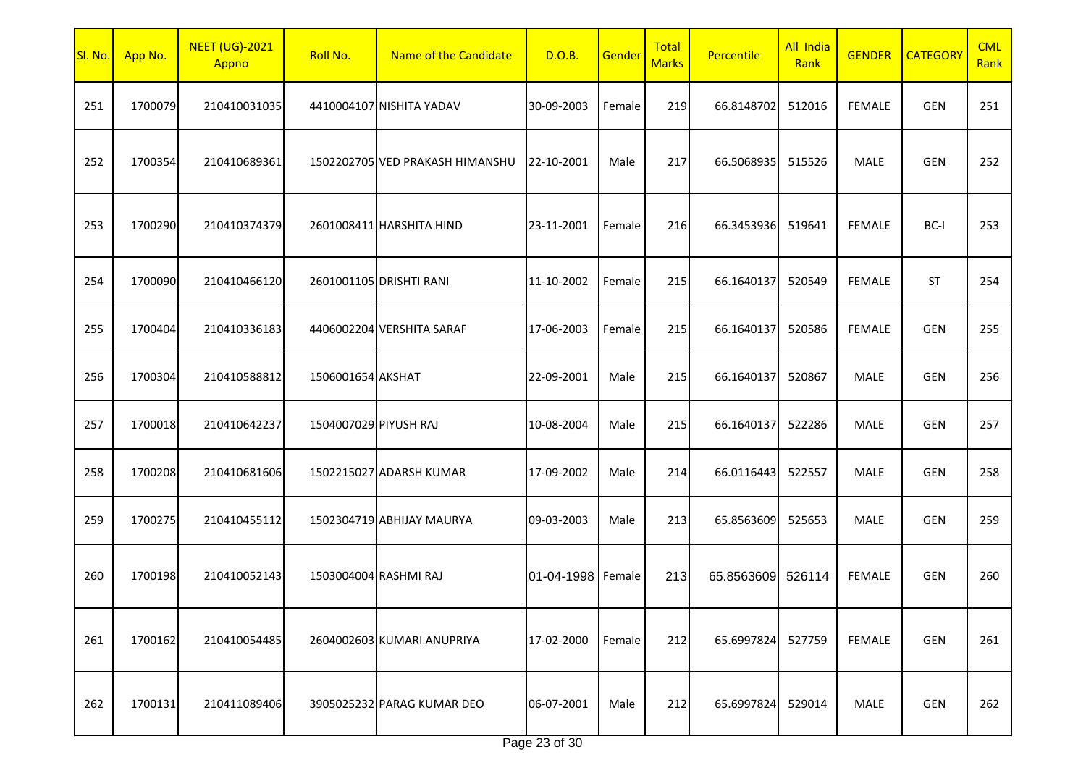| SI. No. | App No. | <b>NEET (UG)-2021</b><br>Appno | Roll No.              | Name of the Candidate           | D.O.B.              | Gender | <b>Total</b><br><b>Marks</b> | Percentile | <b>All India</b><br>Rank | <b>GENDER</b> | <b>CATEGORY</b> | <b>CML</b><br>Rank |
|---------|---------|--------------------------------|-----------------------|---------------------------------|---------------------|--------|------------------------------|------------|--------------------------|---------------|-----------------|--------------------|
| 251     | 1700079 | 210410031035                   |                       | 4410004107 NISHITA YADAV        | 30-09-2003          | Female | 219                          | 66.8148702 | 512016                   | <b>FEMALE</b> | <b>GEN</b>      | 251                |
| 252     | 1700354 | 210410689361                   |                       | 1502202705 VED PRAKASH HIMANSHU | 22-10-2001          | Male   | 217                          | 66.5068935 | 515526                   | MALE          | <b>GEN</b>      | 252                |
| 253     | 1700290 | 210410374379                   |                       | 2601008411 HARSHITA HIND        | 23-11-2001          | Female | <b>216</b>                   | 66.3453936 | 519641                   | <b>FEMALE</b> | BC-I            | 253                |
| 254     | 1700090 | 210410466120                   |                       | 2601001105 DRISHTI RANI         | 11-10-2002          | Female | 215                          | 66.1640137 | 520549                   | <b>FEMALE</b> | <b>ST</b>       | 254                |
| 255     | 1700404 | 210410336183                   |                       | 4406002204 VERSHITA SARAF       | 17-06-2003          | Female | 215                          | 66.1640137 | 520586                   | <b>FEMALE</b> | <b>GEN</b>      | 255                |
| 256     | 1700304 | 210410588812                   | 1506001654 AKSHAT     |                                 | 22-09-2001          | Male   | 215                          | 66.1640137 | 520867                   | MALE          | <b>GEN</b>      | 256                |
| 257     | 1700018 | 210410642237                   | 1504007029 PIYUSH RAJ |                                 | 10-08-2004          | Male   | 215                          | 66.1640137 | 522286                   | MALE          | <b>GEN</b>      | 257                |
| 258     | 1700208 | 210410681606                   |                       | 1502215027 ADARSH KUMAR         | 17-09-2002          | Male   | 214                          | 66.0116443 | 522557                   | MALE          | <b>GEN</b>      | 258                |
| 259     | 1700275 | 210410455112                   |                       | 1502304719 ABHIJAY MAURYA       | 09-03-2003          | Male   | 213                          | 65.8563609 | 525653                   | MALE          | <b>GEN</b>      | 259                |
| 260     | 1700198 | 210410052143                   | 1503004004 RASHMI RAJ |                                 | 01-04-1998   Female |        | 213                          | 65.8563609 | 526114                   | <b>FEMALE</b> | <b>GEN</b>      | 260                |
| 261     | 1700162 | 210410054485                   |                       | 2604002603 KUMARI ANUPRIYA      | 17-02-2000          | Female | 212                          | 65.6997824 | 527759                   | <b>FEMALE</b> | <b>GEN</b>      | 261                |
| 262     | 1700131 | 210411089406                   |                       | 3905025232 PARAG KUMAR DEO      | 06-07-2001          | Male   | 212                          | 65.6997824 | 529014                   | MALE          | <b>GEN</b>      | 262                |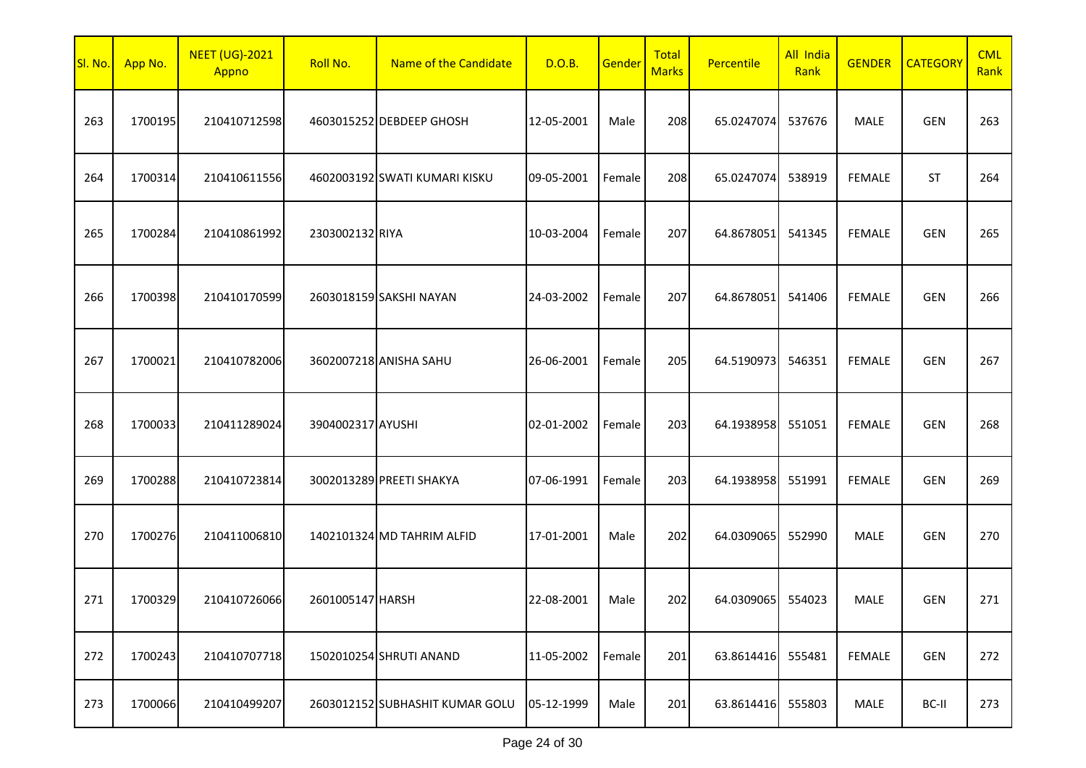| SI. No. | App No. | <b>NEET (UG)-2021</b><br>Appno | Roll No.          | Name of the Candidate           | D.O.B.     | Gender | <b>Total</b><br><b>Marks</b> | Percentile        | All India<br>Rank | <b>GENDER</b> | <b>CATEGORY</b> | <b>CML</b><br>Rank |
|---------|---------|--------------------------------|-------------------|---------------------------------|------------|--------|------------------------------|-------------------|-------------------|---------------|-----------------|--------------------|
| 263     | 1700195 | 210410712598                   |                   | 4603015252 DEBDEEP GHOSH        | 12-05-2001 | Male   | 208                          | 65.0247074        | 537676            | <b>MALE</b>   | <b>GEN</b>      | 263                |
| 264     | 1700314 | 210410611556                   |                   | 4602003192 SWATI KUMARI KISKU   | 09-05-2001 | Female | 208                          | 65.0247074        | 538919            | <b>FEMALE</b> | <b>ST</b>       | 264                |
| 265     | 1700284 | 210410861992                   | 2303002132 RIYA   |                                 | 10-03-2004 | Female | 207                          | 64.8678051        | 541345            | <b>FEMALE</b> | <b>GEN</b>      | 265                |
| 266     | 1700398 | 210410170599                   |                   | 2603018159 SAKSHI NAYAN         | 24-03-2002 | Female | 207                          | 64.8678051        | 541406            | <b>FEMALE</b> | <b>GEN</b>      | 266                |
| 267     | 1700021 | 210410782006                   |                   | 3602007218 ANISHA SAHU          | 26-06-2001 | Female | 205                          | 64.5190973        | 546351            | <b>FEMALE</b> | <b>GEN</b>      | 267                |
| 268     | 1700033 | 210411289024                   | 3904002317 AYUSHI |                                 | 02-01-2002 | Female | 203                          | 64.1938958        | 551051            | <b>FEMALE</b> | <b>GEN</b>      | 268                |
| 269     | 1700288 | 210410723814                   |                   | 3002013289 PREETI SHAKYA        | 07-06-1991 | Female | 203                          | 64.1938958        | 551991            | <b>FEMALE</b> | <b>GEN</b>      | 269                |
| 270     | 1700276 | 210411006810                   |                   | 1402101324 MD TAHRIM ALFID      | 17-01-2001 | Male   | 202                          | 64.0309065        | 552990            | <b>MALE</b>   | <b>GEN</b>      | 270                |
| 271     | 1700329 | 210410726066                   | 2601005147 HARSH  |                                 | 22-08-2001 | Male   | 202                          | 64.0309065        | 554023            | <b>MALE</b>   | <b>GEN</b>      | 271                |
| 272     | 1700243 | 210410707718                   |                   | 1502010254 SHRUTI ANAND         | 11-05-2002 | Female | 201                          | 63.8614416        | 555481            | <b>FEMALE</b> | GEN             | 272                |
| 273     | 1700066 | 210410499207                   |                   | 2603012152 SUBHASHIT KUMAR GOLU | 05-12-1999 | Male   | 201                          | 63.8614416 555803 |                   | MALE          | BC-II           | 273                |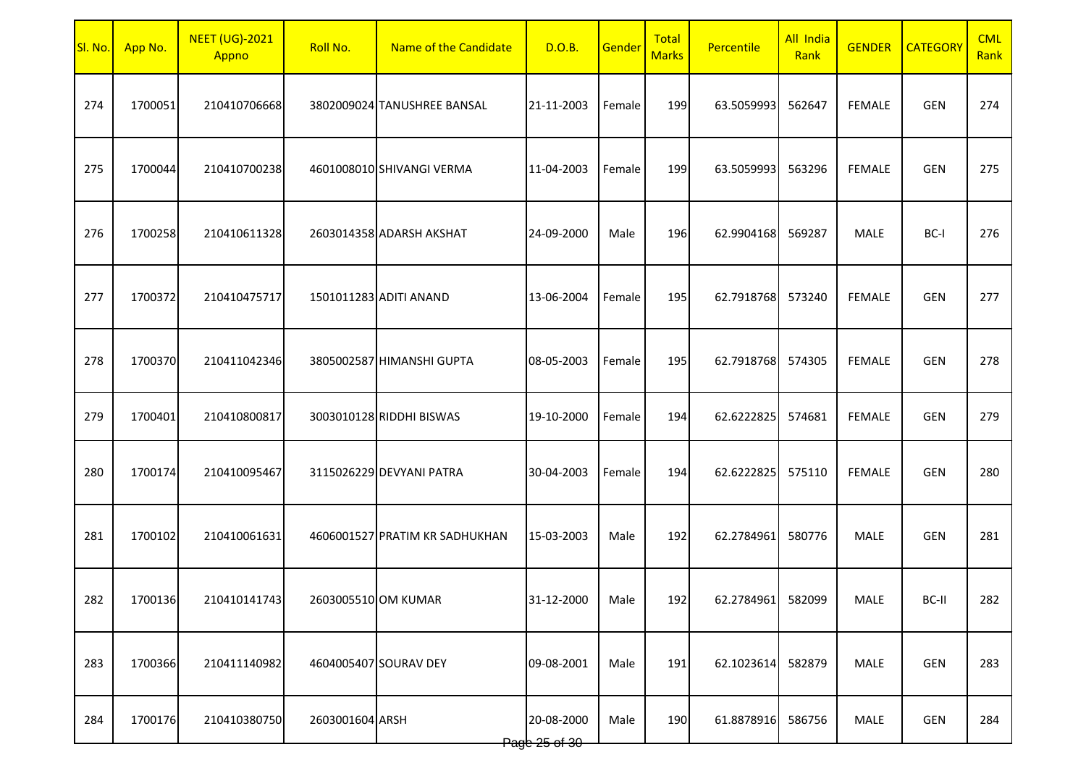| Sl. No. | App No. | <b>NEET (UG)-2021</b><br>Appno | Roll No.            | Name of the Candidate          | D.O.B.                      | Gender | Total<br><b>Marks</b> | Percentile | <b>All India</b><br>Rank | <b>GENDER</b> | <b>CATEGORY</b> | <b>CML</b><br>Rank |
|---------|---------|--------------------------------|---------------------|--------------------------------|-----------------------------|--------|-----------------------|------------|--------------------------|---------------|-----------------|--------------------|
| 274     | 1700051 | 210410706668                   |                     | 3802009024 TANUSHREE BANSAL    | 21-11-2003                  | Female | 199                   | 63.5059993 | 562647                   | <b>FEMALE</b> | <b>GEN</b>      | 274                |
| 275     | 1700044 | 210410700238                   |                     | 4601008010 SHIVANGI VERMA      | 11-04-2003                  | Female | 199                   | 63.5059993 | 563296                   | FEMALE        | <b>GEN</b>      | 275                |
| 276     | 1700258 | 210410611328                   |                     | 2603014358 ADARSH AKSHAT       | 24-09-2000                  | Male   | 196                   | 62.9904168 | 569287                   | MALE          | BC-I            | 276                |
| 277     | 1700372 | 210410475717                   |                     | 1501011283 ADITI ANAND         | 13-06-2004                  | Female | 195                   | 62.7918768 | 573240                   | <b>FEMALE</b> | <b>GEN</b>      | 277                |
| 278     | 1700370 | 210411042346                   |                     | 3805002587 HIMANSHI GUPTA      | 08-05-2003                  | Female | 195                   | 62.7918768 | 574305                   | <b>FEMALE</b> | <b>GEN</b>      | 278                |
| 279     | 1700401 | 210410800817                   |                     | 3003010128 RIDDHI BISWAS       | 19-10-2000                  | Female | 194                   | 62.6222825 | 574681                   | <b>FEMALE</b> | <b>GEN</b>      | 279                |
| 280     | 1700174 | 210410095467                   |                     | 3115026229 DEVYANI PATRA       | 30-04-2003                  | Female | 194                   | 62.6222825 | 575110                   | <b>FEMALE</b> | <b>GEN</b>      | 280                |
| 281     | 1700102 | 210410061631                   |                     | 4606001527 PRATIM KR SADHUKHAN | 15-03-2003                  | Male   | 192                   | 62.2784961 | 580776                   | <b>MALE</b>   | <b>GEN</b>      | 281                |
| 282     | 1700136 | 210410141743                   | 2603005510 OM KUMAR |                                | 31-12-2000                  | Male   | 192                   | 62.2784961 | 582099                   | MALE          | BC-II           | 282                |
| 283     | 1700366 | 210411140982                   |                     | 4604005407 SOURAV DEY          | 09-08-2001                  | Male   | 191                   | 62.1023614 | 582879                   | MALE          | <b>GEN</b>      | 283                |
| 284     | 1700176 | 210410380750                   | 2603001604 ARSH     |                                | 20-08-2000<br>Page 25 of 30 | Male   | 190                   | 61.8878916 | 586756                   | MALE          | <b>GEN</b>      | 284                |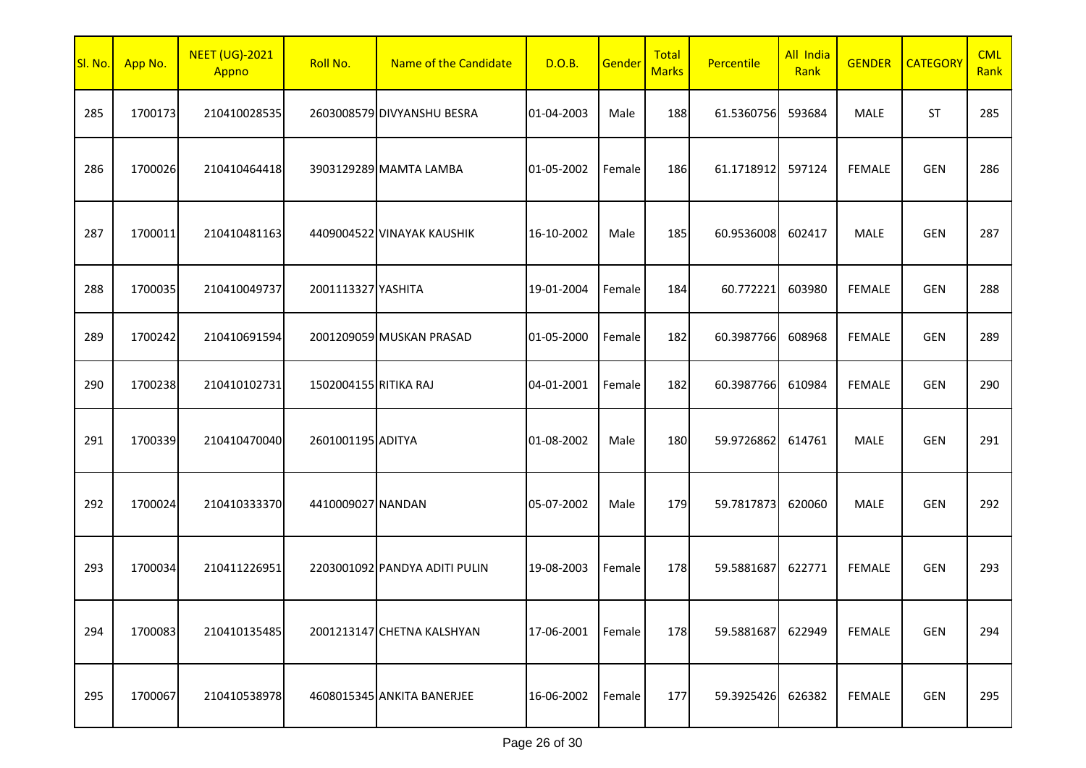| SI. No. | App No. | <b>NEET (UG)-2021</b><br>Appno | Roll No.              | Name of the Candidate         | <b>D.O.B.</b> | Gender | Total<br><b>Marks</b> | Percentile | All India<br>Rank | <b>GENDER</b> | <b>CATEGORY</b> | <b>CML</b><br>Rank |
|---------|---------|--------------------------------|-----------------------|-------------------------------|---------------|--------|-----------------------|------------|-------------------|---------------|-----------------|--------------------|
| 285     | 1700173 | 210410028535                   |                       | 2603008579 DIVYANSHU BESRA    | 01-04-2003    | Male   | 188                   | 61.5360756 | 593684            | MALE          | <b>ST</b>       | 285                |
| 286     | 1700026 | 210410464418                   |                       | 3903129289 MAMTA LAMBA        | 01-05-2002    | Female | 186                   | 61.1718912 | 597124            | <b>FEMALE</b> | <b>GEN</b>      | 286                |
| 287     | 1700011 | 210410481163                   |                       | 4409004522 VINAYAK KAUSHIK    | 16-10-2002    | Male   | 185                   | 60.9536008 | 602417            | MALE          | <b>GEN</b>      | 287                |
| 288     | 1700035 | 210410049737                   | 2001113327 YASHITA    |                               | 19-01-2004    | Female | 184                   | 60.772221  | 603980            | <b>FEMALE</b> | <b>GEN</b>      | 288                |
| 289     | 1700242 | 210410691594                   |                       | 2001209059 MUSKAN PRASAD      | 01-05-2000    | Female | 182                   | 60.3987766 | 608968            | <b>FEMALE</b> | <b>GEN</b>      | 289                |
| 290     | 1700238 | 210410102731                   | 1502004155 RITIKA RAJ |                               | 04-01-2001    | Female | 182                   | 60.3987766 | 610984            | <b>FEMALE</b> | <b>GEN</b>      | 290                |
| 291     | 1700339 | 210410470040                   | 2601001195 ADITYA     |                               | 01-08-2002    | Male   | 180                   | 59.9726862 | 614761            | MALE          | <b>GEN</b>      | 291                |
| 292     | 1700024 | 210410333370                   | 4410009027 NANDAN     |                               | 05-07-2002    | Male   | 179                   | 59.7817873 | 620060            | MALE          | <b>GEN</b>      | 292                |
| 293     | 1700034 | 210411226951                   |                       | 2203001092 PANDYA ADITI PULIN | 19-08-2003    | Female | 178                   | 59.5881687 | 622771            | <b>FEMALE</b> | <b>GEN</b>      | 293                |
| 294     | 1700083 | 210410135485                   |                       | 2001213147 CHETNA KALSHYAN    | 17-06-2001    | Female | 178                   | 59.5881687 | 622949            | <b>FEMALE</b> | <b>GEN</b>      | 294                |
| 295     | 1700067 | 210410538978                   |                       | 4608015345 ANKITA BANERJEE    | 16-06-2002    | Female | 177                   | 59.3925426 | 626382            | FEMALE        | <b>GEN</b>      | 295                |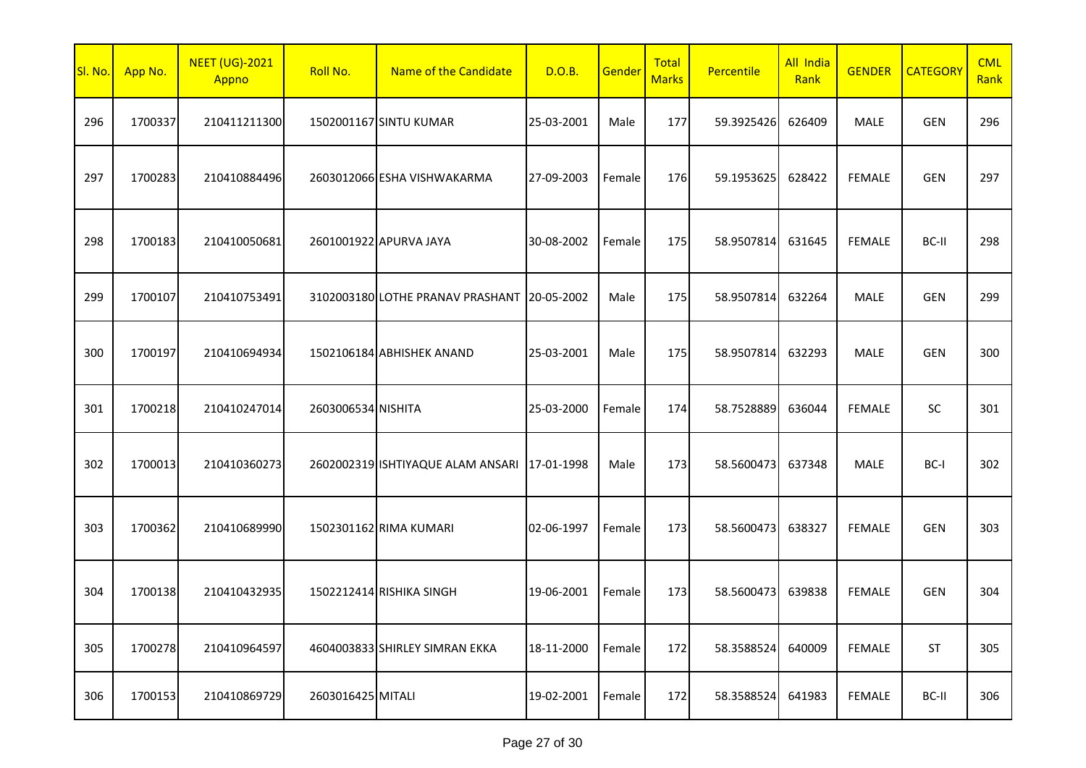| Page 27 of 30 |  |  |  |
|---------------|--|--|--|
|---------------|--|--|--|

| 296 | 1700337 | 210411211300 |                    | 1502001167 SINTU KUMAR                        | 25-03-2001 | Male   | 177 | 59.3925426 | 626409 | <b>MALE</b>   | <b>GEN</b> | 296 |
|-----|---------|--------------|--------------------|-----------------------------------------------|------------|--------|-----|------------|--------|---------------|------------|-----|
| 297 | 1700283 | 210410884496 |                    | 2603012066 ESHA VISHWAKARMA                   | 27-09-2003 | Female | 176 | 59.1953625 | 628422 | <b>FEMALE</b> | <b>GEN</b> | 297 |
| 298 | 1700183 | 210410050681 |                    | 2601001922 APURVA JAYA                        | 30-08-2002 | Female | 175 | 58.9507814 | 631645 | <b>FEMALE</b> | BC-II      | 298 |
| 299 | 1700107 | 210410753491 |                    | 3102003180 LOTHE PRANAV PRASHANT   20-05-2002 |            | Male   | 175 | 58.9507814 | 632264 | <b>MALE</b>   | <b>GEN</b> | 299 |
| 300 | 1700197 | 210410694934 |                    | 1502106184 ABHISHEK ANAND                     | 25-03-2001 | Male   | 175 | 58.9507814 | 632293 | MALE          | <b>GEN</b> | 300 |
| 301 | 1700218 | 210410247014 | 2603006534 NISHITA |                                               | 25-03-2000 | Female | 174 | 58.7528889 | 636044 | <b>FEMALE</b> | <b>SC</b>  | 301 |
| 302 | 1700013 | 210410360273 |                    | 2602002319 ISHTIYAQUE ALAM ANSARI 17-01-1998  |            | Male   | 173 | 58.5600473 | 637348 | MALE          | BC-I       | 302 |
| 303 | 1700362 | 210410689990 |                    | 1502301162 RIMA KUMARI                        | 02-06-1997 | Female | 173 | 58.5600473 | 638327 | <b>FEMALE</b> | <b>GEN</b> | 303 |
| 304 | 1700138 | 210410432935 |                    | 1502212414 RISHIKA SINGH                      | 19-06-2001 | Female | 173 | 58.5600473 | 639838 | <b>FEMALE</b> | <b>GEN</b> | 304 |
| 305 | 1700278 | 210410964597 |                    | 4604003833 SHIRLEY SIMRAN EKKA                | 18-11-2000 | Female | 172 | 58.3588524 | 640009 | <b>FEMALE</b> | <b>ST</b>  | 305 |
| 306 | 1700153 | 210410869729 | 2603016425 MITALI  |                                               | 19-02-2001 | Female | 172 | 58.3588524 | 641983 | <b>FEMALE</b> | BC-II      | 306 |

 $\begin{array}{|c|c|c|c|}\n\hline\n\text{Roll No.} & \text{Name of the Candidate} & \text{D.O.B.} & \text{Gender} & \text{Marks}\n\end{array}$ 

**Percentile** All India

**GENDER CATEGORY** 

**CML** Rank

SI. No. App No.

NEET (UG)-2021 Appno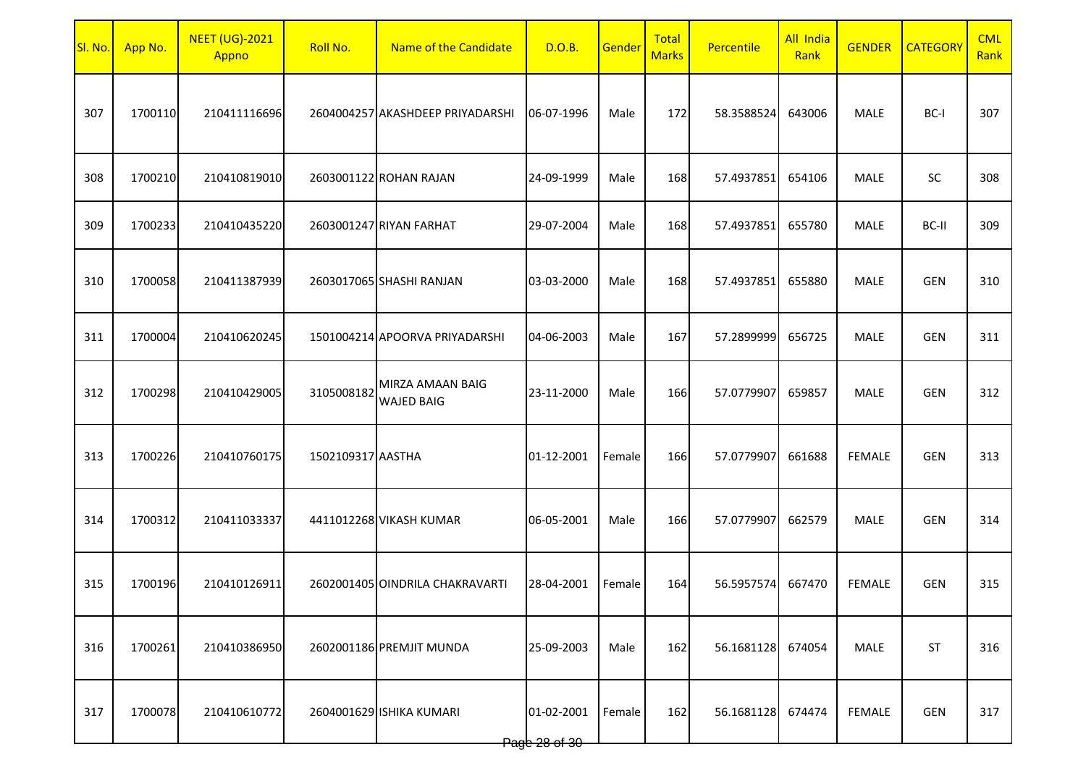| SI. No. | App No. | <b>NEET (UG)-2021</b><br>Appno | Roll No.          | Name of the Candidate                 | <b>D.O.B.</b>                          | Gender | Total<br><b>Marks</b> | Percentile | All India<br>Rank | <b>GENDER</b> | <b>CATEGORY</b> | <b>CML</b><br>Rank |
|---------|---------|--------------------------------|-------------------|---------------------------------------|----------------------------------------|--------|-----------------------|------------|-------------------|---------------|-----------------|--------------------|
| 307     | 1700110 | 210411116696                   |                   | 2604004257 AKASHDEEP PRIYADARSHI      | 06-07-1996                             | Male   | 172                   | 58.3588524 | 643006            | MALE          | BC-I            | 307                |
| 308     | 1700210 | 210410819010                   |                   | 2603001122 ROHAN RAJAN                | 24-09-1999                             | Male   | 168                   | 57.4937851 | 654106            | MALE          | SC              | 308                |
| 309     | 1700233 | 210410435220                   |                   | 2603001247 RIYAN FARHAT               | 29-07-2004                             | Male   | 168                   | 57.4937851 | 655780            | MALE          | BC-II           | 309                |
| 310     | 1700058 | 210411387939                   |                   | 2603017065 SHASHI RANJAN              | 03-03-2000                             | Male   | 168                   | 57.4937851 | 655880            | MALE          | <b>GEN</b>      | 310                |
| 311     | 1700004 | 210410620245                   |                   | 1501004214 APOORVA PRIYADARSHI        | 04-06-2003                             | Male   | 167                   | 57.2899999 | 656725            | MALE          | <b>GEN</b>      | 311                |
| 312     | 1700298 | 210410429005                   | 3105008182        | MIRZA AMAAN BAIG<br><b>WAJED BAIG</b> | 23-11-2000                             | Male   | 166                   | 57.0779907 | 659857            | <b>MALE</b>   | <b>GEN</b>      | 312                |
| 313     | 1700226 | 210410760175                   | 1502109317 AASTHA |                                       | 01-12-2001                             | Female | 166                   | 57.0779907 | 661688            | <b>FEMALE</b> | <b>GEN</b>      | 313                |
| 314     | 1700312 | 210411033337                   |                   | 4411012268 VIKASH KUMAR               | 06-05-2001                             | Male   | 166                   | 57.0779907 | 662579            | MALE          | <b>GEN</b>      | 314                |
| 315     | 1700196 | 210410126911                   |                   | 2602001405 OINDRILA CHAKRAVARTI       | 28-04-2001                             | Female | 164                   | 56.5957574 | 667470            | <b>FEMALE</b> | <b>GEN</b>      | 315                |
| 316     | 1700261 | 210410386950                   |                   | 2602001186 PREMJIT MUNDA              | 25-09-2003                             | Male   | 162                   | 56.1681128 | 674054            | <b>MALE</b>   | <b>ST</b>       | 316                |
| 317     | 1700078 | 210410610772                   |                   | 2604001629 ISHIKA KUMARI              | 01-02-2001<br><del>Pagb 28 of 30</del> | Female | 162                   | 56.1681128 | 674474            | <b>FEMALE</b> | <b>GEN</b>      | 317                |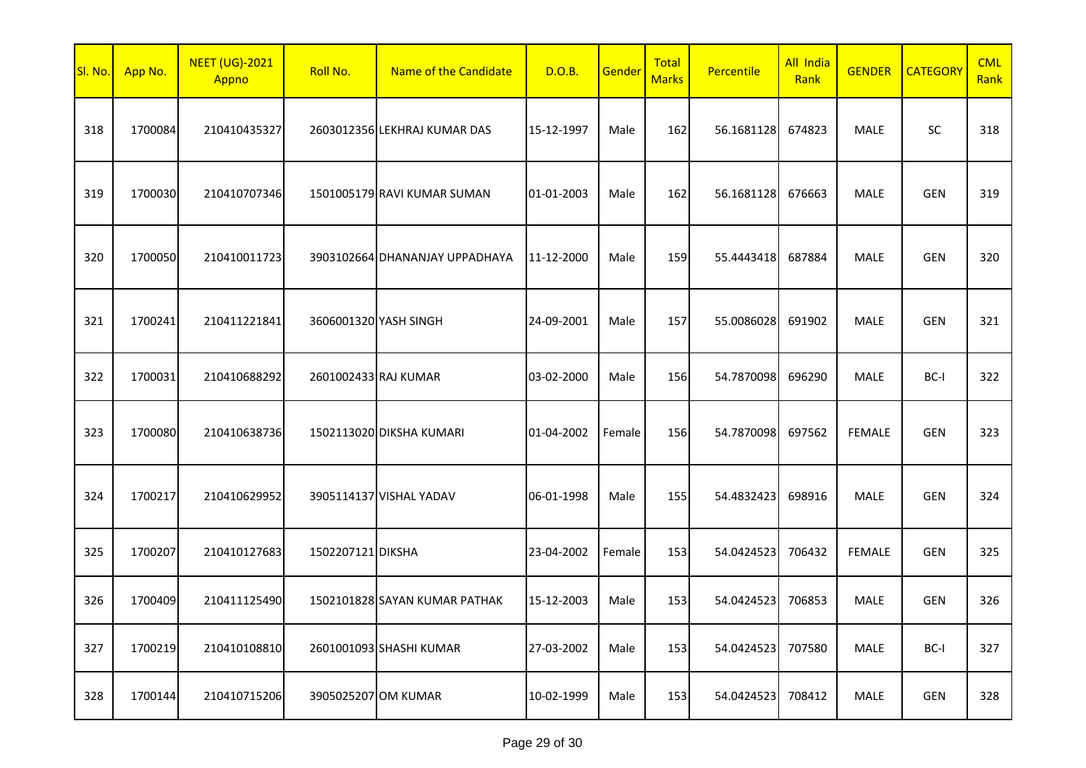| <mark>Sl. No.</mark> | App No. | <b>NEET (UG)-2021</b><br>Appno | Roll No.             | Name of the Candidate          | <b>D.O.B.</b> | Gender | <b>Total</b><br><b>Marks</b> | Percentile | <b>All India</b><br>Rank | <b>GENDER</b> | <b>CATEGORY</b> | <b>CML</b><br>Rank |
|----------------------|---------|--------------------------------|----------------------|--------------------------------|---------------|--------|------------------------------|------------|--------------------------|---------------|-----------------|--------------------|
| 318                  | 1700084 | 210410435327                   |                      | 2603012356 LEKHRAJ KUMAR DAS   | 15-12-1997    | Male   | 162                          | 56.1681128 | 674823                   | MALE          | SC              | 318                |
| 319                  | 1700030 | 210410707346                   |                      | 1501005179 RAVI KUMAR SUMAN    | 01-01-2003    | Male   | 162                          | 56.1681128 | 676663                   | MALE          | <b>GEN</b>      | 319                |
| 320                  | 1700050 | 210410011723                   |                      | 3903102664 DHANANJAY UPPADHAYA | 11-12-2000    | Male   | 159                          | 55.4443418 | 687884                   | <b>MALE</b>   | <b>GEN</b>      | 320                |
| 321                  | 1700241 | 210411221841                   |                      | 3606001320 YASH SINGH          | 24-09-2001    | Male   | 157                          | 55.0086028 | 691902                   | <b>MALE</b>   | <b>GEN</b>      | 321                |
| 322                  | 1700031 | 210410688292                   | 2601002433 RAJ KUMAR |                                | 03-02-2000    | Male   | 156                          | 54.7870098 | 696290                   | <b>MALE</b>   | BC-I            | 322                |
| 323                  | 1700080 | 210410638736                   |                      | 1502113020 DIKSHA KUMARI       | 01-04-2002    | Female | 156                          | 54.7870098 | 697562                   | <b>FEMALE</b> | <b>GEN</b>      | 323                |
| 324                  | 1700217 | 210410629952                   |                      | 3905114137 VISHAL YADAV        | 06-01-1998    | Male   | 155                          | 54.4832423 | 698916                   | MALE          | <b>GEN</b>      | 324                |
| 325                  | 1700207 | 210410127683                   | 1502207121 DIKSHA    |                                | 23-04-2002    | Female | 153                          | 54.0424523 | 706432                   | <b>FEMALE</b> | <b>GEN</b>      | 325                |
| 326                  | 1700409 | 210411125490                   |                      | 1502101828 SAYAN KUMAR PATHAK  | 15-12-2003    | Male   | 153                          | 54.0424523 | 706853                   | <b>MALE</b>   | <b>GEN</b>      | 326                |
| 327                  | 1700219 | 210410108810                   |                      | 2601001093 SHASHI KUMAR        | 27-03-2002    | Male   | 153                          | 54.0424523 | 707580                   | MALE          | BC-I            | 327                |
| 328                  | 1700144 | 210410715206                   | 3905025207 OM KUMAR  |                                | 10-02-1999    | Male   | 153                          | 54.0424523 | 708412                   | <b>MALE</b>   | <b>GEN</b>      | 328                |